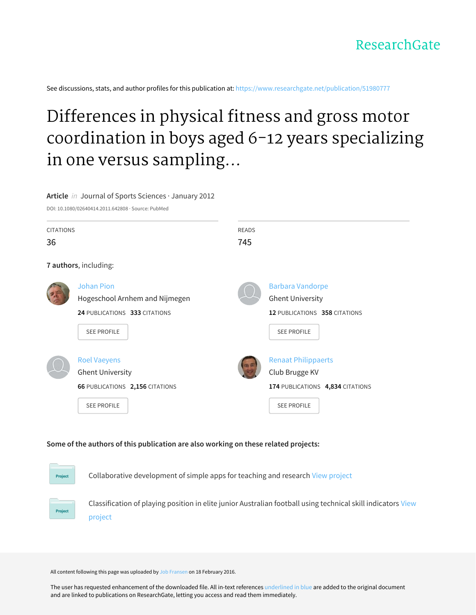See discussions, stats, and author profiles for this publication at: [https://www.researchgate.net/publication/51980777](https://www.researchgate.net/publication/51980777_Differences_in_physical_fitness_and_gross_motor_coordination_in_boys_aged_6-12_years_specializing_in_one_versus_sampling_more_than_one_sport?enrichId=rgreq-46168bb9feb5e2847d20cf23dd8906c6-XXX&enrichSource=Y292ZXJQYWdlOzUxOTgwNzc3O0FTOjMzMDYwODkxMjk0NTE1MkAxNDU1ODM0NzE1MzM2&el=1_x_2&_esc=publicationCoverPdf)

# Differences in physical fitness and gross motor coordination in boys aged 6-12 years specializing in one versus sampling...

#### **Article** in Journal of Sports Sciences · January 2012

DOI: 10.1080/02640414.2011.642808 · Source: PubMed

| <b>CITATIONS</b> |                                 | READS |                                  |
|------------------|---------------------------------|-------|----------------------------------|
| 36               |                                 | 745   |                                  |
|                  | 7 authors, including:           |       |                                  |
|                  | <b>Johan Pion</b>               |       | <b>Barbara Vandorpe</b>          |
|                  | Hogeschool Arnhem and Nijmegen  |       | <b>Ghent University</b>          |
|                  | 24 PUBLICATIONS 333 CITATIONS   |       | 12 PUBLICATIONS 358 CITATIONS    |
|                  | <b>SEE PROFILE</b>              |       | <b>SEE PROFILE</b>               |
|                  |                                 |       |                                  |
|                  | <b>Roel Vaeyens</b>             |       | <b>Renaat Philippaerts</b>       |
|                  | <b>Ghent University</b>         |       | Club Brugge KV                   |
|                  | 66 PUBLICATIONS 2,156 CITATIONS |       | 174 PUBLICATIONS 4,834 CITATIONS |
|                  | <b>SEE PROFILE</b>              |       | <b>SEE PROFILE</b>               |
|                  |                                 |       |                                  |

### **Some of the authors of this publication are also working on these related projects:**

Project

Collaborative development of simple apps for teaching and research View [project](https://www.researchgate.net/project/Collaborative-development-of-simple-apps-for-teaching-and-research?enrichId=rgreq-46168bb9feb5e2847d20cf23dd8906c6-XXX&enrichSource=Y292ZXJQYWdlOzUxOTgwNzc3O0FTOjMzMDYwODkxMjk0NTE1MkAxNDU1ODM0NzE1MzM2&el=1_x_9&_esc=publicationCoverPdf)



[Classification](https://www.researchgate.net/project/Classification-of-playing-position-in-elite-junior-Australian-football-using-technical-skill-indicators?enrichId=rgreq-46168bb9feb5e2847d20cf23dd8906c6-XXX&enrichSource=Y292ZXJQYWdlOzUxOTgwNzc3O0FTOjMzMDYwODkxMjk0NTE1MkAxNDU1ODM0NzE1MzM2&el=1_x_9&_esc=publicationCoverPdf) of playing position in elite junior Australian football using technical skill indicators View project

All content following this page was uploaded by Job [Fransen](https://www.researchgate.net/profile/Job_Fransen2?enrichId=rgreq-46168bb9feb5e2847d20cf23dd8906c6-XXX&enrichSource=Y292ZXJQYWdlOzUxOTgwNzc3O0FTOjMzMDYwODkxMjk0NTE1MkAxNDU1ODM0NzE1MzM2&el=1_x_10&_esc=publicationCoverPdf) on 18 February 2016.

The user has requested enhancement of the downloaded file. All in-text references underlined in blue are added to the original document and are linked to publications on ResearchGate, letting you access and read them immediately.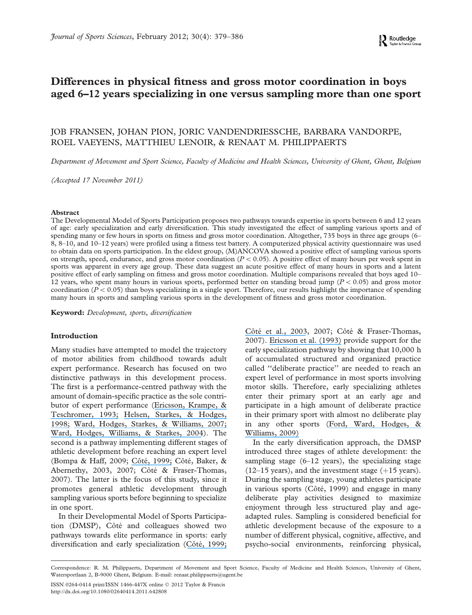## Differences in physical fitness and gross motor coordination in boys aged 6–12 years specializing in one versus sampling more than one sport

## JOB FRANSEN, JOHAN PION, JORIC VANDENDRIESSCHE, BARBARA VANDORPE, ROEL VAEYENS, MATTHIEU LENOIR, & RENAAT M. PHILIPPAERTS

Department of Movement and Sport Science, Faculty of Medicine and Health Sciences, University of Ghent, Ghent, Belgium

(Accepted 17 November 2011)

#### Abstract

The Developmental Model of Sports Participation proposes two pathways towards expertise in sports between 6 and 12 years of age: early specialization and early diversification. This study investigated the effect of sampling various sports and of spending many or few hours in sports on fitness and gross motor coordination. Altogether, 735 boys in three age groups (6– 8, 8–10, and 10–12 years) were profiled using a fitness test battery. A computerized physical activity questionnaire was used to obtain data on sports participation. In the eldest group, (M)ANCOVA showed a positive effect of sampling various sports on strength, speed, endurance, and gross motor coordination  $(P < 0.05)$ . A positive effect of many hours per week spent in sports was apparent in every age group. These data suggest an acute positive effect of many hours in sports and a latent positive effect of early sampling on fitness and gross motor coordination. Multiple comparisons revealed that boys aged 10– 12 years, who spent many hours in various sports, performed better on standing broad jump ( $P < 0.05$ ) and gross motor coordination ( $P < 0.05$ ) than boys specializing in a single sport. Therefore, our results highlight the importance of spending many hours in sports and sampling various sports in the development of fitness and gross motor coordination.

Keyword: Development, sports, diversification

#### Introduction

Many studies have attempted to model the trajectory of motor abilities from childhood towards adult expert performance. Research has focused on two distinctive pathways in this development process. The first is a performance-centred pathway with the amount of domain-specific practice as the sole contributor of expert performance ([Ericsson, Krampe, &](https://www.researchgate.net/publication/289963485_The_role_of_deliberate_practice_in_the_acquistion_of_expert_performance?el=1_x_8&enrichId=rgreq-46168bb9feb5e2847d20cf23dd8906c6-XXX&enrichSource=Y292ZXJQYWdlOzUxOTgwNzc3O0FTOjMzMDYwODkxMjk0NTE1MkAxNDU1ODM0NzE1MzM2) [Teschromer, 1993;](https://www.researchgate.net/publication/289963485_The_role_of_deliberate_practice_in_the_acquistion_of_expert_performance?el=1_x_8&enrichId=rgreq-46168bb9feb5e2847d20cf23dd8906c6-XXX&enrichSource=Y292ZXJQYWdlOzUxOTgwNzc3O0FTOjMzMDYwODkxMjk0NTE1MkAxNDU1ODM0NzE1MzM2) [Helsen, Starkes, & Hodges,](https://www.researchgate.net/publication/232493519_Team_Sports_and_the_Theory_of_Deliberate_Practice?el=1_x_8&enrichId=rgreq-46168bb9feb5e2847d20cf23dd8906c6-XXX&enrichSource=Y292ZXJQYWdlOzUxOTgwNzc3O0FTOjMzMDYwODkxMjk0NTE1MkAxNDU1ODM0NzE1MzM2) [1998;](https://www.researchgate.net/publication/232493519_Team_Sports_and_the_Theory_of_Deliberate_Practice?el=1_x_8&enrichId=rgreq-46168bb9feb5e2847d20cf23dd8906c6-XXX&enrichSource=Y292ZXJQYWdlOzUxOTgwNzc3O0FTOjMzMDYwODkxMjk0NTE1MkAxNDU1ODM0NzE1MzM2) [Ward, Hodges, Starkes, & Williams, 2007;](https://www.researchgate.net/publication/240527483_The_road_to_excellence_Deliberate_practice_and_the_development_of_expertise?el=1_x_8&enrichId=rgreq-46168bb9feb5e2847d20cf23dd8906c6-XXX&enrichSource=Y292ZXJQYWdlOzUxOTgwNzc3O0FTOjMzMDYwODkxMjk0NTE1MkAxNDU1ODM0NzE1MzM2) [Ward, Hodges, Williams, & Starkes, 2004](https://www.researchgate.net/publication/255653625_DELIBERATE_PRACTICE_AND_EXPERT_PERFORMANCE_DEFINING_THE_PATH_TO_EXCELLENCE?el=1_x_8&enrichId=rgreq-46168bb9feb5e2847d20cf23dd8906c6-XXX&enrichSource=Y292ZXJQYWdlOzUxOTgwNzc3O0FTOjMzMDYwODkxMjk0NTE1MkAxNDU1ODM0NzE1MzM2)). The second is a pathway implementing different stages of athletic development before reaching an expert level (Bompa & Haff, 2009; Côté, 1999; Côté, Baker, & Abernethy, 2003, 2007; Côté & Fraser-Thomas, 2007). The latter is the focus of this study, since it promotes general athletic development through sampling various sports before beginning to specialize in one sport.

In their Developmental Model of Sports Participation (DMSP), Côté and colleagues showed two pathways towards elite performance in sports: early diversification and early specialization (Côté, 1999;

Côté et al., 2003, 2007; Côté & Fraser-Thomas, 2007). [Ericsson et al. \(1993\)](https://www.researchgate.net/publication/289963485_The_role_of_deliberate_practice_in_the_acquistion_of_expert_performance?el=1_x_8&enrichId=rgreq-46168bb9feb5e2847d20cf23dd8906c6-XXX&enrichSource=Y292ZXJQYWdlOzUxOTgwNzc3O0FTOjMzMDYwODkxMjk0NTE1MkAxNDU1ODM0NzE1MzM2) provide support for the early specialization pathway by showing that 10,000 h of accumulated structured and organized practice called ''deliberate practice'' are needed to reach an expert level of performance in most sports involving motor skills. Therefore, early specializing athletes enter their primary sport at an early age and participate in a high amount of deliberate practice in their primary sport with almost no deliberate play in any other sports ([Ford, Ward, Hodges, &](https://www.researchgate.net/publication/248977688_The_role_of_deliberate_practice_and_play_in_career_progression_in_sport_The_early_engagement_hypothesis?el=1_x_8&enrichId=rgreq-46168bb9feb5e2847d20cf23dd8906c6-XXX&enrichSource=Y292ZXJQYWdlOzUxOTgwNzc3O0FTOjMzMDYwODkxMjk0NTE1MkAxNDU1ODM0NzE1MzM2) [Williams, 2009\)](https://www.researchgate.net/publication/248977688_The_role_of_deliberate_practice_and_play_in_career_progression_in_sport_The_early_engagement_hypothesis?el=1_x_8&enrichId=rgreq-46168bb9feb5e2847d20cf23dd8906c6-XXX&enrichSource=Y292ZXJQYWdlOzUxOTgwNzc3O0FTOjMzMDYwODkxMjk0NTE1MkAxNDU1ODM0NzE1MzM2)

In the early diversification approach, the DMSP introduced three stages of athlete development: the sampling stage  $(6-12 \text{ years})$ , the specializing stage  $(12-15 \text{ years})$ , and the investment stage  $(+15 \text{ years})$ . During the sampling stage, young athletes participate in various sports (Côté, 1999) and engage in many deliberate play activities designed to maximize enjoyment through less structured play and ageadapted rules. Sampling is considered beneficial for athletic development because of the exposure to a number of different physical, cognitive, affective, and psycho-social environments, reinforcing physical,

Correspondence: R. M. Philippaerts, Department of Movement and Sport Science, Faculty of Medicine and Health Sciences, University of Ghent, Watersportlaan 2, B-9000 Ghent, Belgium. E-mail: renaat.philippaerts@ugent.be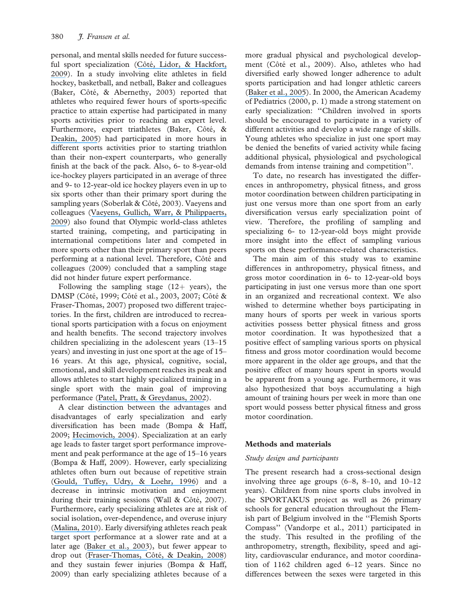personal, and mental skills needed for future successful sport specialization (Côté, Lidor, & Hackfort, [2009](https://www.researchgate.net/publication/237581301_ISSP_position_stand_To_sample_or_to_specialize_Seven_postulates_about_youth_sport_activities_that_lead_to_continued_participation_and_elite_performance?el=1_x_8&enrichId=rgreq-46168bb9feb5e2847d20cf23dd8906c6-XXX&enrichSource=Y292ZXJQYWdlOzUxOTgwNzc3O0FTOjMzMDYwODkxMjk0NTE1MkAxNDU1ODM0NzE1MzM2)). In a study involving elite athletes in field hockey, basketball, and netball, Baker and colleagues (Baker, Côté, & Abernethy, 2003) reported that athletes who required fewer hours of sports-specific practice to attain expertise had participated in many sports activities prior to reaching an expert level. Furthermore, expert triathletes (Baker, Côté, & [Deakin, 2005](https://www.researchgate.net/publication/43501252_Expertise_in_Ultra-Endurance_Triathletes_Early_Sport_Involvement_Training_Structure_and_the_Theory_of_Deliberate_Practice?el=1_x_8&enrichId=rgreq-46168bb9feb5e2847d20cf23dd8906c6-XXX&enrichSource=Y292ZXJQYWdlOzUxOTgwNzc3O0FTOjMzMDYwODkxMjk0NTE1MkAxNDU1ODM0NzE1MzM2)) had participated in more hours in different sports activities prior to starting triathlon than their non-expert counterparts, who generally finish at the back of the pack. Also, 6- to 8-year-old ice-hockey players participated in an average of three and 9- to 12-year-old ice hockey players even in up to six sports other than their primary sport during the sampling years (Soberlak & Côté, 2003). Vaeyens and colleagues ([Vaeyens, Gullich, Warr, & Philippaerts,](https://www.researchgate.net/publication/26854427_Talent_Identification_and_Promotion_Programmes_of_Olympic_Athletes?el=1_x_8&enrichId=rgreq-46168bb9feb5e2847d20cf23dd8906c6-XXX&enrichSource=Y292ZXJQYWdlOzUxOTgwNzc3O0FTOjMzMDYwODkxMjk0NTE1MkAxNDU1ODM0NzE1MzM2) [2009](https://www.researchgate.net/publication/26854427_Talent_Identification_and_Promotion_Programmes_of_Olympic_Athletes?el=1_x_8&enrichId=rgreq-46168bb9feb5e2847d20cf23dd8906c6-XXX&enrichSource=Y292ZXJQYWdlOzUxOTgwNzc3O0FTOjMzMDYwODkxMjk0NTE1MkAxNDU1ODM0NzE1MzM2)) also found that Olympic world-class athletes started training, competing, and participating in international competitions later and competed in more sports other than their primary sport than peers performing at a national level. Therefore, Côté and colleagues (2009) concluded that a sampling stage did not hinder future expert performance.

Following the sampling stage  $(12 + \text{years})$ , the DMSP (Côté, 1999; Côté et al., 2003, 2007; Côté & Fraser-Thomas, 2007) proposed two different trajectories. In the first, children are introduced to recreational sports participation with a focus on enjoyment and health benefits. The second trajectory involves children specializing in the adolescent years (13–15 years) and investing in just one sport at the age of 15– 16 years. At this age, physical, cognitive, social, emotional, and skill development reaches its peak and allows athletes to start highly specialized training in a single sport with the main goal of improving performance ([Patel, Pratt, & Greydanus, 2002](https://www.researchgate.net/publication/11258741_Pediatric_neurodevelopment_and_sports_participation_When_are_children_ready_to_play_sports?el=1_x_8&enrichId=rgreq-46168bb9feb5e2847d20cf23dd8906c6-XXX&enrichSource=Y292ZXJQYWdlOzUxOTgwNzc3O0FTOjMzMDYwODkxMjk0NTE1MkAxNDU1ODM0NzE1MzM2)).

A clear distinction between the advantages and disadvantages of early specialization and early diversification has been made (Bompa & Haff, 2009; [Hecimovich, 2004](https://www.researchgate.net/publication/262877785_Sport_Specialization_in_Youth_A_Literature_Review?el=1_x_8&enrichId=rgreq-46168bb9feb5e2847d20cf23dd8906c6-XXX&enrichSource=Y292ZXJQYWdlOzUxOTgwNzc3O0FTOjMzMDYwODkxMjk0NTE1MkAxNDU1ODM0NzE1MzM2)). Specialization at an early age leads to faster target sport performance improvement and peak performance at the age of 15–16 years (Bompa & Haff, 2009). However, early specializing athletes often burn out because of repetitive strain ([Gould, Tuffey, Udry, & Loehr, 1996](https://www.researchgate.net/publication/232504809_Burnout_in_Competitive_Junior_Tennis_Players_II_Qualitative_Analysis?el=1_x_8&enrichId=rgreq-46168bb9feb5e2847d20cf23dd8906c6-XXX&enrichSource=Y292ZXJQYWdlOzUxOTgwNzc3O0FTOjMzMDYwODkxMjk0NTE1MkAxNDU1ODM0NzE1MzM2)) and a decrease in intrinsic motivation and enjoyment during their training sessions (Wall  $\&$  Côté, 2007). Furthermore, early specializing athletes are at risk of social isolation, over-dependence, and overuse injury ([Malina, 2010](https://www.researchgate.net/publication/47742812_Early_Sport_Specialization_Roots_Effectiveness_Risks?el=1_x_8&enrichId=rgreq-46168bb9feb5e2847d20cf23dd8906c6-XXX&enrichSource=Y292ZXJQYWdlOzUxOTgwNzc3O0FTOjMzMDYwODkxMjk0NTE1MkAxNDU1ODM0NzE1MzM2)). Early diversifying athletes reach peak target sport performance at a slower rate and at a later age ([Baker et al., 2003](https://www.researchgate.net/publication/43444553_Sport-Specific_Practice_and_the_Development_of_Expert_Decision-Making_in_Team_Ball_Sports?el=1_x_8&enrichId=rgreq-46168bb9feb5e2847d20cf23dd8906c6-XXX&enrichSource=Y292ZXJQYWdlOzUxOTgwNzc3O0FTOjMzMDYwODkxMjk0NTE1MkAxNDU1ODM0NzE1MzM2)), but fewer appear to drop out (Fraser-Thomas, Côté, & Deakin, 2008) and they sustain fewer injuries (Bompa & Haff, 2009) than early specializing athletes because of a

more gradual physical and psychological development (Côté et al., 2009). Also, athletes who had diversified early showed longer adherence to adult sports participation and had longer athletic careers ([Baker et al., 2005](https://www.researchgate.net/publication/43501252_Expertise_in_Ultra-Endurance_Triathletes_Early_Sport_Involvement_Training_Structure_and_the_Theory_of_Deliberate_Practice?el=1_x_8&enrichId=rgreq-46168bb9feb5e2847d20cf23dd8906c6-XXX&enrichSource=Y292ZXJQYWdlOzUxOTgwNzc3O0FTOjMzMDYwODkxMjk0NTE1MkAxNDU1ODM0NzE1MzM2)). In 2000, the American Academy of Pediatrics (2000, p. 1) made a strong statement on early specialization: ''Children involved in sports should be encouraged to participate in a variety of different activities and develop a wide range of skills. Young athletes who specialize in just one sport may be denied the benefits of varied activity while facing additional physical, physiological and psychological demands from intense training and competition''.

To date, no research has investigated the differences in anthropometry, physical fitness, and gross motor coordination between children participating in just one versus more than one sport from an early diversification versus early specialization point of view. Therefore, the profiling of sampling and specializing 6- to 12-year-old boys might provide more insight into the effect of sampling various sports on these performance-related characteristics.

The main aim of this study was to examine differences in anthropometry, physical fitness, and gross motor coordination in 6- to 12-year-old boys participating in just one versus more than one sport in an organized and recreational context. We also wished to determine whether boys participating in many hours of sports per week in various sports activities possess better physical fitness and gross motor coordination. It was hypothesized that a positive effect of sampling various sports on physical fitness and gross motor coordination would become more apparent in the older age groups, and that the positive effect of many hours spent in sports would be apparent from a young age. Furthermore, it was also hypothesized that boys accumulating a high amount of training hours per week in more than one sport would possess better physical fitness and gross motor coordination.

## Methods and materials

## Study design and participants

The present research had a cross-sectional design involving three age groups (6–8, 8–10, and 10–12 years). Children from nine sports clubs involved in the SPORTAKUS project as well as 26 primary schools for general education throughout the Flemish part of Belgium involved in the ''Flemish Sports Compass'' (Vandorpe et al., 2011) participated in the study. This resulted in the profiling of the anthropometry, strength, flexibility, speed and agility, cardiovascular endurance, and motor coordination of 1162 children aged 6–12 years. Since no differences between the sexes were targeted in this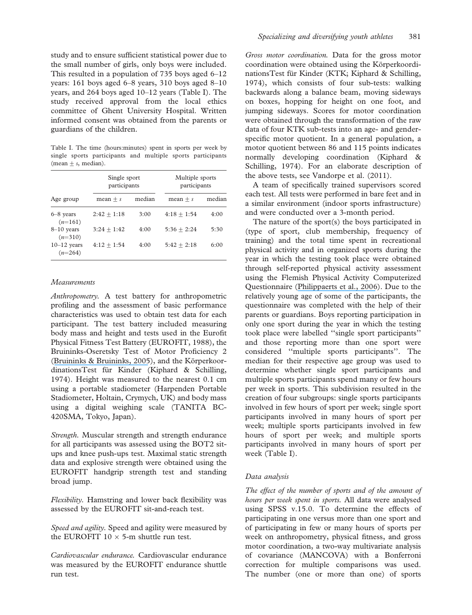study and to ensure sufficient statistical power due to the small number of girls, only boys were included. This resulted in a population of 735 boys aged 6–12 years: 161 boys aged 6–8 years, 310 boys aged 8–10 years, and 264 boys aged 10–12 years (Table I). The study received approval from the local ethics committee of Ghent University Hospital. Written informed consent was obtained from the parents or guardians of the children.

Table I. The time (hours:minutes) spent in sports per week by single sports participants and multiple sports participants (mean  $\pm$  s, median).

|                            | Single sport<br>participants |        | Multiple sports<br>participants |        |  |  |
|----------------------------|------------------------------|--------|---------------------------------|--------|--|--|
| Age group                  | $mean + s$                   | median | $mean + s$                      | median |  |  |
| $6 - 8$ years<br>$(n=161)$ | $2:42 + 1:18$                | 3:00   | $4:18 + 1:54$                   | 4:00   |  |  |
| $8-10$ years<br>$(n=310)$  | $3:24 + 1:42$                | 4:00   | $5:36+2:24$                     | 5:30   |  |  |
| $10-12$ years<br>$(n=264)$ | $4:12 + 1:54$                | 4:00   | $5:42 + 2:18$                   | 6:00   |  |  |

#### **Measurements**

Anthropometry. A test battery for anthropometric profiling and the assessment of basic performance characteristics was used to obtain test data for each participant. The test battery included measuring body mass and height and tests used in the Eurofit Physical Fitness Test Battery (EUROFIT, 1988), the Bruininks-Oseretsky Test of Motor Proficiency 2 ([Bruininks & Bruininks, 2005](https://www.researchgate.net/publication/248623312_Bruininks_-_Oseretsky_Test_of_Motor_Proficiency?el=1_x_8&enrichId=rgreq-46168bb9feb5e2847d20cf23dd8906c6-XXX&enrichSource=Y292ZXJQYWdlOzUxOTgwNzc3O0FTOjMzMDYwODkxMjk0NTE1MkAxNDU1ODM0NzE1MzM2)), and the KörperkoordinationsTest für Kinder (Kiphard & Schilling, 1974). Height was measured to the nearest 0.1 cm using a portable stadiometer (Harpenden Portable Stadiometer, Holtain, Crymych, UK) and body mass using a digital weighing scale (TANITA BC-420SMA, Tokyo, Japan).

Strength. Muscular strength and strength endurance for all participants was assessed using the BOT2 situps and knee push-ups test. Maximal static strength data and explosive strength were obtained using the EUROFIT handgrip strength test and standing broad jump.

Flexibility. Hamstring and lower back flexibility was assessed by the EUROFIT sit-and-reach test.

Speed and agility. Speed and agility were measured by the EUROFIT  $10 \times 5$ -m shuttle run test.

Cardiovascular endurance. Cardiovascular endurance was measured by the EUROFIT endurance shuttle run test.

Gross motor coordination. Data for the gross motor coordination were obtained using the KörperkoordinationsTest für Kinder (KTK; Kiphard & Schilling, 1974), which consists of four sub-tests: walking backwards along a balance beam, moving sideways on boxes, hopping for height on one foot, and jumping sideways. Scores for motor coordination were obtained through the transformation of the raw data of four KTK sub-tests into an age- and genderspecific motor quotient. In a general population, a motor quotient between 86 and 115 points indicates normally developing coordination (Kiphard & Schilling, 1974). For an elaborate description of the above tests, see Vandorpe et al. (2011).

A team of specifically trained supervisors scored each test. All tests were performed in bare feet and in a similar environment (indoor sports infrastructure) and were conducted over a 3-month period.

The nature of the sport(s) the boys participated in (type of sport, club membership, frequency of training) and the total time spent in recreational physical activity and in organized sports during the year in which the testing took place were obtained through self-reported physical activity assessment using the Flemish Physical Activity Computerized Questionnaire ([Philippaerts et al., 2006](https://www.researchgate.net/publication/7301758_Validity_of_a_Physical_Activity_Computer_Questionnaire_in_12-_to_18-year-old_Boys_and_Girls?el=1_x_8&enrichId=rgreq-46168bb9feb5e2847d20cf23dd8906c6-XXX&enrichSource=Y292ZXJQYWdlOzUxOTgwNzc3O0FTOjMzMDYwODkxMjk0NTE1MkAxNDU1ODM0NzE1MzM2)). Due to the relatively young age of some of the participants, the questionnaire was completed with the help of their parents or guardians. Boys reporting participation in only one sport during the year in which the testing took place were labelled ''single sport participants'' and those reporting more than one sport were considered ''multiple sports participants''. The median for their respective age group was used to determine whether single sport participants and multiple sports participants spend many or few hours per week in sports. This subdivision resulted in the creation of four subgroups: single sports participants involved in few hours of sport per week; single sport participants involved in many hours of sport per week; multiple sports participants involved in few hours of sport per week; and multiple sports participants involved in many hours of sport per week (Table I).

#### Data analysis

The effect of the number of sports and of the amount of hours per week spent in sports. All data were analysed using SPSS v.15.0. To determine the effects of participating in one versus more than one sport and of participating in few or many hours of sports per week on anthropometry, physical fitness, and gross motor coordination, a two-way multivariate analysis of covariance (MANCOVA) with a Bonferroni correction for multiple comparisons was used. The number (one or more than one) of sports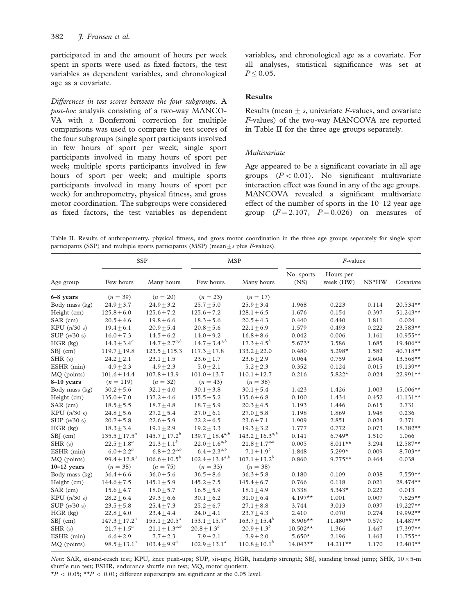participated in and the amount of hours per week spent in sports were used as fixed factors, the test variables as dependent variables, and chronological age as a covariate.

Differences in test scores between the four subgroups. A post-hoc analysis consisting of a two-way MANCO-VA with a Bonferroni correction for multiple comparisons was used to compare the test scores of the four subgroups (single sport participants involved in few hours of sport per week; single sport participants involved in many hours of sport per week; multiple sports participants involved in few hours of sport per week; and multiple sports participants involved in many hours of sport per week) for anthropometry, physical fitness, and gross motor coordination. The subgroups were considered as fixed factors, the test variables as dependent variables, and chronological age as a covariate. For all analyses, statistical significance was set at  $P \leq 0.05$ .

#### **Results**

Results (mean  $+$  s, univariate *F*-values, and covariate F-values) of the two-way MANCOVA are reported in Table II for the three age groups separately.

#### *Multivariate*

Age appeared to be a significant covariate in all age groups  $(P< 0.01)$ . No significant multivariate interaction effect was found in any of the age groups. MANCOVA revealed a significant multivariate effect of the number of sports in the 10–12 year age group  $(F = 2.107, P = 0.026)$  on measures of

Table II. Results of anthropometry, physical fitness, and gross motor coordination in the three age groups separately for single sport participants (SSP) and multiple sports participants (MSP) (mean + s plus  $F$ -values).

|                | <b>SSP</b>         |                      | <b>MSP</b>             |                        | $F$ -values        |                        |       |            |
|----------------|--------------------|----------------------|------------------------|------------------------|--------------------|------------------------|-------|------------|
| Age group      | Few hours          | Many hours           | Few hours              | Many hours             | No. sports<br>(NS) | Hours per<br>week (HW) | NS*HW | Covariate  |
| 6-8 years      | $(n = 39)$         | $(n = 20)$           | $(n = 23)$             | $(n = 17)$             |                    |                        |       |            |
| Body mass (kg) | $24.9 + 3.7$       | $24.9 + 3.2$         | $25.7 + 5.0$           | $25.9 + 3.4$           | 1.968              | 0.223                  | 0.114 | 20.534**   |
| Height (cm)    | $125.8 + 6.0$      | $125.6 + 7.2$        | $125.6 + 7.2$          | $128.1 + 6.5$          | 1.676              | 0.154                  | 0.397 | $51.243**$ |
| SAR (cm)       | $20.5 + 4.6$       | $19.8 + 6.6$         | $18.3 + 5.6$           | $20.5 + 4.3$           | 0.440              | 0.440                  | 1.811 | 0.024      |
| KPU $(n/30 s)$ | $19.4 \pm 6.1$     | $20.9 \pm 5.4$       | $20.8 + 5.6$           | $22.1 \pm 6.9$         | 1.579              | 0.493                  | 0.222 | 23.583**   |
| SUP $(n/30 s)$ | $16.0 \pm 7.3$     | $14.5 + 6.2$         | $14.0 + 9.2$           | $16.8 + 8.6$           | 0.042              | 0.006                  | 1.161 | 10.955**   |
| $HGR$ (kg)     | $14.3 \pm 3.4^a$   | $14.7 + 2.7^{a,b}$   | $14.7 + 3.4^{a,b}$     | $17.3 \pm 4.5^{b}$     | $5.673*$           | 3.586                  | 1.685 | 19.406**   |
| SBJ (cm)       | $119.7 \pm 19.8$   | $123.5 \pm 115.3$    | $117.3 \pm 17.8$       | $133.2 \pm 22.0$       | 0.480              | $5.298*$               | 1.582 | 40.718**   |
| SHR(s)         | $24.2 \pm 2.1$     | $23.1 \pm 1.5$       | $23.6 \pm 1.7$         | $23.6 \pm 2.9$         | 0.064              | 0.759                  | 2.604 | 13.568**   |
| ESHR (min)     | $4.9 \pm 2.3$      | $4.9 \pm 2.3$        | $5.0 \pm 2.1$          | $5.2 \pm 2.3$          | 0.352              | 0.124                  | 0.015 | 19.139**   |
| MQ (points)    | $101.6 + 14.4$     | $107.8 + 13.9$       | $101.0 + 13.7$         | $110.1 + 12.7$         | 0.216              | $5.822*$               | 0.024 | $22.991**$ |
| 8-10 years     | $(n = 119)$        | $(n = 32)$           | $(n = 43)$             | $(n = 38)$             |                    |                        |       |            |
| Body mass (kg) | $30.2 \pm 5.6$     | $32.1 \pm 4.0$       | $30.1 \pm 3.8$         | $30.1 \pm 5.4$         | 1.423              | 1.426                  | 1.003 | 15.006**   |
| Height (cm)    | $135.0 \pm 7.0$    | $137.2 \pm 4.6$      | $135.5 \pm 5.2$        | $135.6 \pm 6.8$        | 0.100              | 1.434                  | 0.452 | $41.131**$ |
| SAR (cm)       | $18.5 \pm 5.5$     | $18.7 \pm 4.8$       | $18.7 \pm 5.9$         | $20.3 \pm 4.5$         | 1.193              | 1.446                  | 0.615 | 2.731      |
| KPU $(n/30 s)$ | $24.8 \pm 5.6$     | $27.2 \pm 5.4$       | $27.0 \pm 6.1$         | $27.0 \pm 5.8$         | 1.198              | 1.869                  | 1.948 | 0.236      |
| SUP $(n/30 s)$ | $20.7 \pm 5.8$     | $22.6 \pm 5.9$       | $22.2 \pm 6.5$         | $23.6 \pm 7.1$         | 1.909              | 2.851                  | 0.024 | 2.371      |
| $HGR$ (kg)     | $18.3 \pm 3.4$     | $19.1 \pm 2.9$       | $19.2 \pm 3.3$         | $19.3 \pm 3.2$         | 1.777              | 0.772                  | 0.073 | 18.782**   |
| SBJ (cm)       | $135.5 \pm 17.5^a$ | $145.7 \pm 17.2^b$   | $139.7 \pm 18.4^{a,b}$ | $143.2 \pm 16.3^{a,b}$ | 0.141              | $6.749*$               | 1.510 | 1.066      |
| SHR(s)         | $22.5 + 1.8^a$     | $21.3 \pm 1.1^b$     | $22.0 + 1.6^{a,b}$     | $21.8\pm1.7^{a,b}$     | 0.005              | $8.011**$              | 3.294 | $12.587**$ |
| ESHR (min)     | $6.0 + 2.2^a$      | $6.8 + 2.2^{a,b}$    | $6.4 + 2.3^{a,b}$      | $7.1 \pm 1.9^{b}$      | 1.848              | $5.299*$               | 0.009 | $8.703**$  |
| MQ (points)    | $99.4 + 12.8^a$    | $106.6 \pm 10.5^b$   | $102.4 \pm 13.4^{a,b}$ | $107.1 \pm 13.2^b$     | 0.860              | $9.775**$              | 0.464 | 0.038      |
| $10-12$ years  | $(n = 38)$         | $(n = 75)$           | $(n = 33)$             | $(n = 38)$             |                    |                        |       |            |
| Body mass (kg) | $36.4 + 6.6$       | $36.0 + 5.6$         | $36.5 + 8.6$           | $36.3 + 5.8$           | 0.180              | 0.109                  | 0.038 | $7.559**$  |
| Height (cm)    | $144.6 + 7.5$      | $145.1 + 5.9$        | $145.2 + 7.5$          | $145.4 + 6.7$          | 0.766              | 0.118                  | 0.021 | 28.474**   |
| SAR (cm)       | $15.6 \pm 4.7$     | $18.0 \pm 5.7$       | $16.5 \pm 5.9$         | $18.1 \pm 4.9$         | 0.338              | $5.343*$               | 0.222 | 0.013      |
| KPU $(n/30 s)$ | $28.2 \pm 6.4$     | $29.3 \pm 6.6$       | $30.1 \pm 6.2$         | $31.0 \pm 6.4$         | $4.197**$          | 1.001                  | 0.007 | $7.825**$  |
| SUP $(n/30 s)$ | $23.5 \pm 5.8$     | $25.4 \pm 7.3$       | $25.2 \pm 6.7$         | $27.1 \pm 8.8$         | 3.744              | 3.013                  | 0.037 | $19.227**$ |
| HGR (kg)       | $22.8 \pm 4.0$     | $23.4 \pm 4.4$       | $24.0 \pm 4.1$         | $23.7 \pm 4.3$         | 2.410              | 0.070                  | 0.274 | 19.992**   |
| SBJ (cm)       | $147.3 \pm 17.2^a$ | $155.1 \pm 20.5^a$   | $153.1 \pm 15.7^a$     | $163.7 \pm 15.4^b$     | 8.906**            | $11.480**$             | 0.570 | 14.487**   |
| SHR(s)         | $21.7 \pm 1.5^a$   | $21.1 \pm 1.3^{a,b}$ | $20.8 \pm 1.3^{b}$     | $20.9 \pm 1.3^{b}$     | $10.502**$         | 1.366                  | 1.467 | 17.397**   |
| ESHR (min)     | $6.6 \pm 2.9$      | $7.7 \pm 2.3$        | $7.9 + 2.1$            | $7.9 + 2.0$            | $5.650*$           | 2.196                  | 1.463 | $11.755**$ |
| MQ (points)    | $98.5 \pm 13.1^a$  | $103.4 \pm 9.9^a$    | $102.9 + 13.1^a$       | $110.8 + 10.1b$        | $14.043**$         | $14.211**$             | 1.170 | $12.403**$ |

Note: SAR, sit-and-reach test; KPU, knee push-ups; SUP, sit-ups; HGR, handgrip strength; SBJ, standing broad jump; SHR,  $10 \times 5$ -m shuttle run test; ESHR, endurance shuttle run test; MQ, motor quotient.

 $*P < 0.05$ ;  $**P < 0.01$ ; different superscripts are significant at the 0.05 level.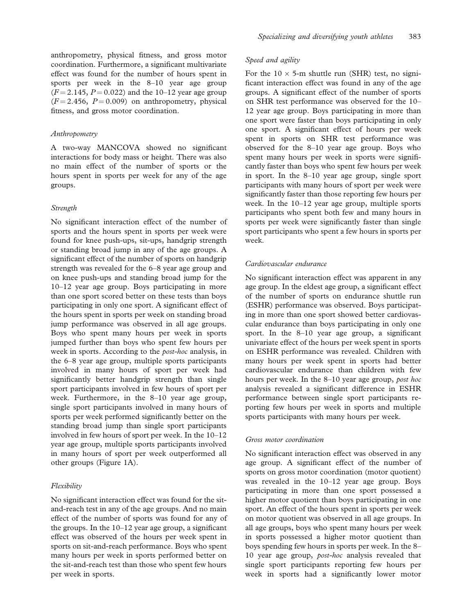anthropometry, physical fitness, and gross motor coordination. Furthermore, a significant multivariate effect was found for the number of hours spent in sports per week in the 8–10 year age group  $(F = 2.145, P = 0.022)$  and the 10–12 year age group  $(F = 2.456, P = 0.009)$  on anthropometry, physical fitness, and gross motor coordination.

#### Anthropometry

A two-way MANCOVA showed no significant interactions for body mass or height. There was also no main effect of the number of sports or the hours spent in sports per week for any of the age groups.

#### **Strength**

No significant interaction effect of the number of sports and the hours spent in sports per week were found for knee push-ups, sit-ups, handgrip strength or standing broad jump in any of the age groups. A significant effect of the number of sports on handgrip strength was revealed for the 6–8 year age group and on knee push-ups and standing broad jump for the 10–12 year age group. Boys participating in more than one sport scored better on these tests than boys participating in only one sport. A significant effect of the hours spent in sports per week on standing broad jump performance was observed in all age groups. Boys who spent many hours per week in sports jumped further than boys who spent few hours per week in sports. According to the post-hoc analysis, in the 6–8 year age group, multiple sports participants involved in many hours of sport per week had significantly better handgrip strength than single sport participants involved in few hours of sport per week. Furthermore, in the 8–10 year age group, single sport participants involved in many hours of sports per week performed significantly better on the standing broad jump than single sport participants involved in few hours of sport per week. In the 10–12 year age group, multiple sports participants involved in many hours of sport per week outperformed all other groups (Figure 1A).

#### Flexibility

No significant interaction effect was found for the sitand-reach test in any of the age groups. And no main effect of the number of sports was found for any of the groups. In the 10–12 year age group, a significant effect was observed of the hours per week spent in sports on sit-and-reach performance. Boys who spent many hours per week in sports performed better on the sit-and-reach test than those who spent few hours per week in sports.

#### Speed and agility

For the  $10 \times 5$ -m shuttle run (SHR) test, no significant interaction effect was found in any of the age groups. A significant effect of the number of sports on SHR test performance was observed for the 10– 12 year age group. Boys participating in more than one sport were faster than boys participating in only one sport. A significant effect of hours per week spent in sports on SHR test performance was observed for the 8–10 year age group. Boys who spent many hours per week in sports were significantly faster than boys who spent few hours per week in sport. In the 8–10 year age group, single sport participants with many hours of sport per week were significantly faster than those reporting few hours per week. In the 10–12 year age group, multiple sports participants who spent both few and many hours in sports per week were significantly faster than single sport participants who spent a few hours in sports per week.

#### Cardiovascular endurance

No significant interaction effect was apparent in any age group. In the eldest age group, a significant effect of the number of sports on endurance shuttle run (ESHR) performance was observed. Boys participating in more than one sport showed better cardiovascular endurance than boys participating in only one sport. In the 8–10 year age group, a significant univariate effect of the hours per week spent in sports on ESHR performance was revealed. Children with many hours per week spent in sports had better cardiovascular endurance than children with few hours per week. In the 8–10 year age group, post hoc analysis revealed a significant difference in ESHR performance between single sport participants reporting few hours per week in sports and multiple sports participants with many hours per week.

#### Gross motor coordination

No significant interaction effect was observed in any age group. A significant effect of the number of sports on gross motor coordination (motor quotient) was revealed in the 10–12 year age group. Boys participating in more than one sport possessed a higher motor quotient than boys participating in one sport. An effect of the hours spent in sports per week on motor quotient was observed in all age groups. In all age groups, boys who spent many hours per week in sports possessed a higher motor quotient than boys spending few hours in sports per week. In the 8– 10 year age group, post-hoc analysis revealed that single sport participants reporting few hours per week in sports had a significantly lower motor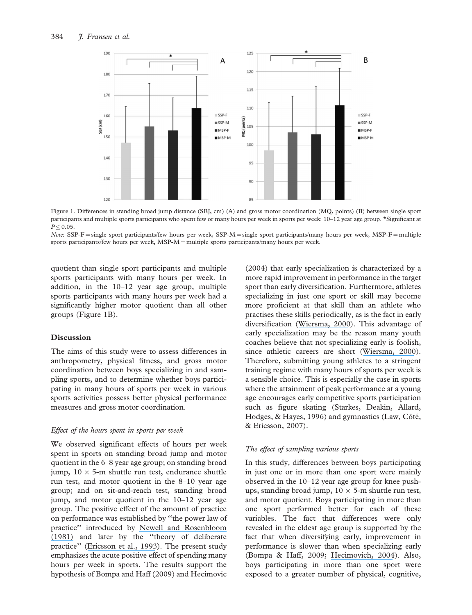

Figure 1. Differences in standing broad jump distance (SBJ, cm) (A) and gross motor coordination (MQ, points) (B) between single sport participants and multiple sports participants who spent few or many hours per week in sports per week: 10–12 year age group. \*Significant at  $P \leq 0.05$ .

Note: SSP-F = single sport participants/few hours per week, SSP-M = single sport participants/many hours per week, MSP-F = multiple sports participants/few hours per week,  $MSP-M =$  multiple sports participants/many hours per week.

quotient than single sport participants and multiple sports participants with many hours per week. In addition, in the 10–12 year age group, multiple sports participants with many hours per week had a significantly higher motor quotient than all other groups (Figure 1B).

#### **Discussion**

The aims of this study were to assess differences in anthropometry, physical fitness, and gross motor coordination between boys specializing in and sampling sports, and to determine whether boys participating in many hours of sports per week in various sports activities possess better physical performance measures and gross motor coordination.

#### Effect of the hours spent in sports per week

We observed significant effects of hours per week spent in sports on standing broad jump and motor quotient in the 6–8 year age group; on standing broad jump,  $10 \times 5$ -m shuttle run test, endurance shuttle run test, and motor quotient in the 8–10 year age group; and on sit-and-reach test, standing broad jump, and motor quotient in the 10–12 year age group. The positive effect of the amount of practice on performance was established by ''the power law of practice'' introduced by [Newell and Rosenbloom](https://www.researchgate.net/publication/243783833_Mechanisms_of_skill_acquisition_and_the_law_of_practice?el=1_x_8&enrichId=rgreq-46168bb9feb5e2847d20cf23dd8906c6-XXX&enrichSource=Y292ZXJQYWdlOzUxOTgwNzc3O0FTOjMzMDYwODkxMjk0NTE1MkAxNDU1ODM0NzE1MzM2) [\(1981\)](https://www.researchgate.net/publication/243783833_Mechanisms_of_skill_acquisition_and_the_law_of_practice?el=1_x_8&enrichId=rgreq-46168bb9feb5e2847d20cf23dd8906c6-XXX&enrichSource=Y292ZXJQYWdlOzUxOTgwNzc3O0FTOjMzMDYwODkxMjk0NTE1MkAxNDU1ODM0NzE1MzM2) and later by the ''theory of deliberate practice'' ([Ericsson et al., 1993](https://www.researchgate.net/publication/289963485_The_role_of_deliberate_practice_in_the_acquistion_of_expert_performance?el=1_x_8&enrichId=rgreq-46168bb9feb5e2847d20cf23dd8906c6-XXX&enrichSource=Y292ZXJQYWdlOzUxOTgwNzc3O0FTOjMzMDYwODkxMjk0NTE1MkAxNDU1ODM0NzE1MzM2)). The present study emphasizes the acute positive effect of spending many hours per week in sports. The results support the hypothesis of Bompa and Haff (2009) and Hecimovic (2004) that early specialization is characterized by a more rapid improvement in performance in the target sport than early diversification. Furthermore, athletes specializing in just one sport or skill may become more proficient at that skill than an athlete who practises these skills periodically, as is the fact in early diversification ([Wiersma, 2000](https://www.researchgate.net/publication/285807864_Risks_and_Benefits_of_Youth_Sport_Specialization_Perspectives_and_Recommendations?el=1_x_8&enrichId=rgreq-46168bb9feb5e2847d20cf23dd8906c6-XXX&enrichSource=Y292ZXJQYWdlOzUxOTgwNzc3O0FTOjMzMDYwODkxMjk0NTE1MkAxNDU1ODM0NzE1MzM2)). This advantage of early specialization may be the reason many youth coaches believe that not specializing early is foolish, since athletic careers are short ([Wiersma, 2000](https://www.researchgate.net/publication/285807864_Risks_and_Benefits_of_Youth_Sport_Specialization_Perspectives_and_Recommendations?el=1_x_8&enrichId=rgreq-46168bb9feb5e2847d20cf23dd8906c6-XXX&enrichSource=Y292ZXJQYWdlOzUxOTgwNzc3O0FTOjMzMDYwODkxMjk0NTE1MkAxNDU1ODM0NzE1MzM2)). Therefore, submitting young athletes to a stringent training regime with many hours of sports per week is a sensible choice. This is especially the case in sports where the attainment of peak performance at a young age encourages early competitive sports participation such as figure skating (Starkes, Deakin, Allard, Hodges, & Hayes, 1996) and gymnastics (Law, Côté, & Ericsson, 2007).

#### The effect of sampling various sports

In this study, differences between boys participating in just one or in more than one sport were mainly observed in the 10–12 year age group for knee pushups, standing broad jump,  $10 \times 5$ -m shuttle run test, and motor quotient. Boys participating in more than one sport performed better for each of these variables. The fact that differences were only revealed in the eldest age group is supported by the fact that when diversifying early, improvement in performance is slower than when specializing early (Bompa & Haff, 2009; [Hecimovich, 2004](https://www.researchgate.net/publication/262877785_Sport_Specialization_in_Youth_A_Literature_Review?el=1_x_8&enrichId=rgreq-46168bb9feb5e2847d20cf23dd8906c6-XXX&enrichSource=Y292ZXJQYWdlOzUxOTgwNzc3O0FTOjMzMDYwODkxMjk0NTE1MkAxNDU1ODM0NzE1MzM2)). Also, boys participating in more than one sport were exposed to a greater number of physical, cognitive,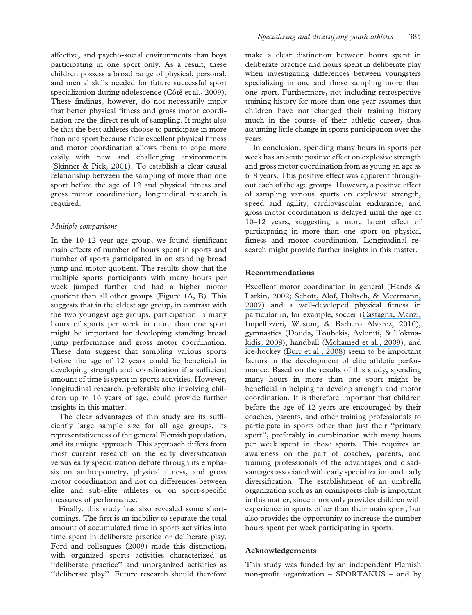affective, and psycho-social environments than boys participating in one sport only. As a result, these children possess a broad range of physical, personal, and mental skills needed for future successful sport specialization during adolescence (Côté et al., 2009). These findings, however, do not necessarily imply that better physical fitness and gross motor coordination are the direct result of sampling. It might also be that the best athletes choose to participate in more than one sport because their excellent physical fitness and motor coordination allows them to cope more easily with new and challenging environments ([Skinner & Piek, 2001](https://www.researchgate.net/publication/11871939_Psychosocial_implications_of_poor_motor_coordination_in_children_and_adolescents?el=1_x_8&enrichId=rgreq-46168bb9feb5e2847d20cf23dd8906c6-XXX&enrichSource=Y292ZXJQYWdlOzUxOTgwNzc3O0FTOjMzMDYwODkxMjk0NTE1MkAxNDU1ODM0NzE1MzM2)). To establish a clear causal relationship between the sampling of more than one sport before the age of 12 and physical fitness and gross motor coordination, longitudinal research is required.

#### Multiple comparisons

In the 10–12 year age group, we found significant main effects of number of hours spent in sports and number of sports participated in on standing broad jump and motor quotient. The results show that the multiple sports participants with many hours per week jumped further and had a higher motor quotient than all other groups (Figure 1A, B). This suggests that in the eldest age group, in contrast with the two youngest age groups, participation in many hours of sports per week in more than one sport might be important for developing standing broad jump performance and gross motor coordination. These data suggest that sampling various sports before the age of 12 years could be beneficial in developing strength and coordination if a sufficient amount of time is spent in sports activities. However, longitudinal research, preferably also involving children up to 16 years of age, could provide further insights in this matter.

The clear advantages of this study are its sufficiently large sample size for all age groups, its representativeness of the general Flemish population, and its unique approach. This approach differs from most current research on the early diversification versus early specialization debate through its emphasis on anthropometry, physical fitness, and gross motor coordination and not on differences between elite and sub-elite athletes or on sport-specific measures of performance.

Finally, this study has also revealed some shortcomings. The first is an inability to separate the total amount of accumulated time in sports activities into time spent in deliberate practice or deliberate play. Ford and colleagues (2009) made this distinction, with organized sports activities characterized as ''deliberate practice'' and unorganized activities as ''deliberate play''. Future research should therefore

make a clear distinction between hours spent in deliberate practice and hours spent in deliberate play when investigating differences between youngsters specializing in one and those sampling more than one sport. Furthermore, not including retrospective training history for more than one year assumes that children have not changed their training history much in the course of their athletic career, thus assuming little change in sports participation over the years.

In conclusion, spending many hours in sports per week has an acute positive effect on explosive strength and gross motor coordination from as young an age as 6–8 years. This positive effect was apparent throughout each of the age groups. However, a positive effect of sampling various sports on explosive strength, speed and agility, cardiovascular endurance, and gross motor coordination is delayed until the age of 10–12 years, suggesting a more latent effect of participating in more than one sport on physical fitness and motor coordination. Longitudinal research might provide further insights in this matter.

#### Recommendations

Excellent motor coordination in general (Hands & Larkin, 2002; [Schott, Alof, Hultsch, & Meermann,](https://www.researchgate.net/publication/5578335_Physical_Fitness_in_Children_With_Developmental_Coordination_Disorder?el=1_x_8&enrichId=rgreq-46168bb9feb5e2847d20cf23dd8906c6-XXX&enrichSource=Y292ZXJQYWdlOzUxOTgwNzc3O0FTOjMzMDYwODkxMjk0NTE1MkAxNDU1ODM0NzE1MzM2) [2007](https://www.researchgate.net/publication/5578335_Physical_Fitness_in_Children_With_Developmental_Coordination_Disorder?el=1_x_8&enrichId=rgreq-46168bb9feb5e2847d20cf23dd8906c6-XXX&enrichSource=Y292ZXJQYWdlOzUxOTgwNzc3O0FTOjMzMDYwODkxMjk0NTE1MkAxNDU1ODM0NzE1MzM2)) and a well-developed physical fitness in particular in, for example, soccer ([Castagna, Manzi,](https://www.researchgate.net/publication/47742913_Relationship_Between_Endurance_Field_Tests_and_Match_Performance_in_Young_Soccer_Players?el=1_x_8&enrichId=rgreq-46168bb9feb5e2847d20cf23dd8906c6-XXX&enrichSource=Y292ZXJQYWdlOzUxOTgwNzc3O0FTOjMzMDYwODkxMjk0NTE1MkAxNDU1ODM0NzE1MzM2) [Impellizzeri, Weston, & Barbero Alvarez, 2010](https://www.researchgate.net/publication/47742913_Relationship_Between_Endurance_Field_Tests_and_Match_Performance_in_Young_Soccer_Players?el=1_x_8&enrichId=rgreq-46168bb9feb5e2847d20cf23dd8906c6-XXX&enrichSource=Y292ZXJQYWdlOzUxOTgwNzc3O0FTOjMzMDYwODkxMjk0NTE1MkAxNDU1ODM0NzE1MzM2)), gymnastics ([Douda, Toubekis, Avloniti, & Tokma](https://www.researchgate.net/publication/23980425_Physiological_and_Anthropometric_Determinants_of_Rhythmic_Gymnastics_Performance?el=1_x_8&enrichId=rgreq-46168bb9feb5e2847d20cf23dd8906c6-XXX&enrichSource=Y292ZXJQYWdlOzUxOTgwNzc3O0FTOjMzMDYwODkxMjk0NTE1MkAxNDU1ODM0NzE1MzM2)[kidis, 2008](https://www.researchgate.net/publication/23980425_Physiological_and_Anthropometric_Determinants_of_Rhythmic_Gymnastics_Performance?el=1_x_8&enrichId=rgreq-46168bb9feb5e2847d20cf23dd8906c6-XXX&enrichSource=Y292ZXJQYWdlOzUxOTgwNzc3O0FTOjMzMDYwODkxMjk0NTE1MkAxNDU1ODM0NzE1MzM2)), handball ([Mohamed et al., 2009](https://www.researchgate.net/publication/23801514_Anthropometric_and_performance_measures_for_the_development_of_a_talent_detection_and_identification_model_in_youth_handball?el=1_x_8&enrichId=rgreq-46168bb9feb5e2847d20cf23dd8906c6-XXX&enrichSource=Y292ZXJQYWdlOzUxOTgwNzc3O0FTOjMzMDYwODkxMjk0NTE1MkAxNDU1ODM0NzE1MzM2)), and ice-hockey ([Burr et al., 2008](https://www.researchgate.net/publication/23181495_Relationship_of_Physical_Fitness_Test_Results_and_Hockey_Playing_Potential_in_Elite-Level_Ice_Hockey_Players?el=1_x_8&enrichId=rgreq-46168bb9feb5e2847d20cf23dd8906c6-XXX&enrichSource=Y292ZXJQYWdlOzUxOTgwNzc3O0FTOjMzMDYwODkxMjk0NTE1MkAxNDU1ODM0NzE1MzM2)) seem to be important factors in the development of elite athletic performance. Based on the results of this study, spending many hours in more than one sport might be beneficial in helping to develop strength and motor coordination. It is therefore important that children before the age of 12 years are encouraged by their coaches, parents, and other training professionals to participate in sports other than just their ''primary sport'', preferably in combination with many hours per week spent in those sports. This requires an awareness on the part of coaches, parents, and training professionals of the advantages and disadvantages associated with early specialization and early diversification. The establishment of an umbrella organization such as an omnisports club is important in this matter, since it not only provides children with experience in sports other than their main sport, but also provides the opportunity to increase the number hours spent per week participating in sports.

#### Acknowledgements

This study was funded by an independent Flemish non-profit organization – SPORTAKUS – and by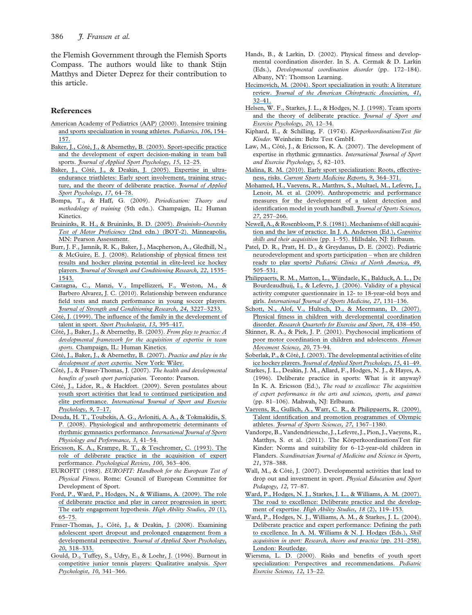the Flemish Government through the Flemish Sports Compass. The authors would like to thank Stijn Matthys and Dieter Deprez for their contribution to this article.

#### References

- [American Academy of Pediatrics \(AAP\) \(2000\). Intensive training](https://www.researchgate.net/publication/289814298_Intensive_training_and_sports_specialization_in_young_athletes?el=1_x_8&enrichId=rgreq-46168bb9feb5e2847d20cf23dd8906c6-XXX&enrichSource=Y292ZXJQYWdlOzUxOTgwNzc3O0FTOjMzMDYwODkxMjk0NTE1MkAxNDU1ODM0NzE1MzM2) [and sports specialization in young athletes.](https://www.researchgate.net/publication/289814298_Intensive_training_and_sports_specialization_in_young_athletes?el=1_x_8&enrichId=rgreq-46168bb9feb5e2847d20cf23dd8906c6-XXX&enrichSource=Y292ZXJQYWdlOzUxOTgwNzc3O0FTOjMzMDYwODkxMjk0NTE1MkAxNDU1ODM0NzE1MzM2) Pediatrics, 106, 154– [157.](https://www.researchgate.net/publication/289814298_Intensive_training_and_sports_specialization_in_young_athletes?el=1_x_8&enrichId=rgreq-46168bb9feb5e2847d20cf23dd8906c6-XXX&enrichSource=Y292ZXJQYWdlOzUxOTgwNzc3O0FTOjMzMDYwODkxMjk0NTE1MkAxNDU1ODM0NzE1MzM2)
- Baker, J., Côté, J., & Abernethy, B. (2003). Sport-specific practice [and the development of expert decision-making in team ball](https://www.researchgate.net/publication/43444553_Sport-Specific_Practice_and_the_Development_of_Expert_Decision-Making_in_Team_Ball_Sports?el=1_x_8&enrichId=rgreq-46168bb9feb5e2847d20cf23dd8906c6-XXX&enrichSource=Y292ZXJQYWdlOzUxOTgwNzc3O0FTOjMzMDYwODkxMjk0NTE1MkAxNDU1ODM0NzE1MzM2) sports. [Journal of Applied Sport Psychology, 15](https://www.researchgate.net/publication/43444553_Sport-Specific_Practice_and_the_Development_of_Expert_Decision-Making_in_Team_Ball_Sports?el=1_x_8&enrichId=rgreq-46168bb9feb5e2847d20cf23dd8906c6-XXX&enrichSource=Y292ZXJQYWdlOzUxOTgwNzc3O0FTOjMzMDYwODkxMjk0NTE1MkAxNDU1ODM0NzE1MzM2), 12-25.
- Baker, J., Côté, J., & Deakin, J. (2005). Expertise in ultra[endurance triathletes: Early sport involvement, training struc](https://www.researchgate.net/publication/43501252_Expertise_in_Ultra-Endurance_Triathletes_Early_Sport_Involvement_Training_Structure_and_the_Theory_of_Deliberate_Practice?el=1_x_8&enrichId=rgreq-46168bb9feb5e2847d20cf23dd8906c6-XXX&enrichSource=Y292ZXJQYWdlOzUxOTgwNzc3O0FTOjMzMDYwODkxMjk0NTE1MkAxNDU1ODM0NzE1MzM2)[ture, and the theory of deliberate practice.](https://www.researchgate.net/publication/43501252_Expertise_in_Ultra-Endurance_Triathletes_Early_Sport_Involvement_Training_Structure_and_the_Theory_of_Deliberate_Practice?el=1_x_8&enrichId=rgreq-46168bb9feb5e2847d20cf23dd8906c6-XXX&enrichSource=Y292ZXJQYWdlOzUxOTgwNzc3O0FTOjMzMDYwODkxMjk0NTE1MkAxNDU1ODM0NzE1MzM2) Journal of Applied [Sport Psychology, 17](https://www.researchgate.net/publication/43501252_Expertise_in_Ultra-Endurance_Triathletes_Early_Sport_Involvement_Training_Structure_and_the_Theory_of_Deliberate_Practice?el=1_x_8&enrichId=rgreq-46168bb9feb5e2847d20cf23dd8906c6-XXX&enrichSource=Y292ZXJQYWdlOzUxOTgwNzc3O0FTOjMzMDYwODkxMjk0NTE1MkAxNDU1ODM0NzE1MzM2), 64-78.
- Bompa, T., & Haff, G. (2009). Periodization: Theory and methodology of training (5th edn.). Champaign, IL: Human Kinetics.
- [Bruininks, R. H., & Bruininks, B. D. \(2005\).](https://www.researchgate.net/publication/248623312_Bruininks_-_Oseretsky_Test_of_Motor_Proficiency?el=1_x_8&enrichId=rgreq-46168bb9feb5e2847d20cf23dd8906c6-XXX&enrichSource=Y292ZXJQYWdlOzUxOTgwNzc3O0FTOjMzMDYwODkxMjk0NTE1MkAxNDU1ODM0NzE1MzM2) Bruininks-Oseretsky Test of Motor Proficiency [\(2nd edn.\) \(BOT-2\). Minneapolis,](https://www.researchgate.net/publication/248623312_Bruininks_-_Oseretsky_Test_of_Motor_Proficiency?el=1_x_8&enrichId=rgreq-46168bb9feb5e2847d20cf23dd8906c6-XXX&enrichSource=Y292ZXJQYWdlOzUxOTgwNzc3O0FTOjMzMDYwODkxMjk0NTE1MkAxNDU1ODM0NzE1MzM2) [MN: Pearson Assessment.](https://www.researchgate.net/publication/248623312_Bruininks_-_Oseretsky_Test_of_Motor_Proficiency?el=1_x_8&enrichId=rgreq-46168bb9feb5e2847d20cf23dd8906c6-XXX&enrichSource=Y292ZXJQYWdlOzUxOTgwNzc3O0FTOjMzMDYwODkxMjk0NTE1MkAxNDU1ODM0NzE1MzM2)
- [Burr, J. F., Jamnik, R. K., Baker, J., Macpherson, A., Gledhill, N.,](https://www.researchgate.net/publication/23181495_Relationship_of_Physical_Fitness_Test_Results_and_Hockey_Playing_Potential_in_Elite-Level_Ice_Hockey_Players?el=1_x_8&enrichId=rgreq-46168bb9feb5e2847d20cf23dd8906c6-XXX&enrichSource=Y292ZXJQYWdlOzUxOTgwNzc3O0FTOjMzMDYwODkxMjk0NTE1MkAxNDU1ODM0NzE1MzM2) [& McGuire, E. J. \(2008\). Relationship of physical fitness test](https://www.researchgate.net/publication/23181495_Relationship_of_Physical_Fitness_Test_Results_and_Hockey_Playing_Potential_in_Elite-Level_Ice_Hockey_Players?el=1_x_8&enrichId=rgreq-46168bb9feb5e2847d20cf23dd8906c6-XXX&enrichSource=Y292ZXJQYWdlOzUxOTgwNzc3O0FTOjMzMDYwODkxMjk0NTE1MkAxNDU1ODM0NzE1MzM2) [results and hockey playing potential in elite-level ice hockey](https://www.researchgate.net/publication/23181495_Relationship_of_Physical_Fitness_Test_Results_and_Hockey_Playing_Potential_in_Elite-Level_Ice_Hockey_Players?el=1_x_8&enrichId=rgreq-46168bb9feb5e2847d20cf23dd8906c6-XXX&enrichSource=Y292ZXJQYWdlOzUxOTgwNzc3O0FTOjMzMDYwODkxMjk0NTE1MkAxNDU1ODM0NzE1MzM2) players. [Journal of Strength and Conditioning Research, 22](https://www.researchgate.net/publication/23181495_Relationship_of_Physical_Fitness_Test_Results_and_Hockey_Playing_Potential_in_Elite-Level_Ice_Hockey_Players?el=1_x_8&enrichId=rgreq-46168bb9feb5e2847d20cf23dd8906c6-XXX&enrichSource=Y292ZXJQYWdlOzUxOTgwNzc3O0FTOjMzMDYwODkxMjk0NTE1MkAxNDU1ODM0NzE1MzM2), 1535– [1543.](https://www.researchgate.net/publication/23181495_Relationship_of_Physical_Fitness_Test_Results_and_Hockey_Playing_Potential_in_Elite-Level_Ice_Hockey_Players?el=1_x_8&enrichId=rgreq-46168bb9feb5e2847d20cf23dd8906c6-XXX&enrichSource=Y292ZXJQYWdlOzUxOTgwNzc3O0FTOjMzMDYwODkxMjk0NTE1MkAxNDU1ODM0NzE1MzM2)
- [Castagna, C., Manzi, V., Impellizzeri, F., Weston, M., &](https://www.researchgate.net/publication/47742913_Relationship_Between_Endurance_Field_Tests_and_Match_Performance_in_Young_Soccer_Players?el=1_x_8&enrichId=rgreq-46168bb9feb5e2847d20cf23dd8906c6-XXX&enrichSource=Y292ZXJQYWdlOzUxOTgwNzc3O0FTOjMzMDYwODkxMjk0NTE1MkAxNDU1ODM0NzE1MzM2) [Barbero Alvarez, J. C. \(2010\). Relationship between endurance](https://www.researchgate.net/publication/47742913_Relationship_Between_Endurance_Field_Tests_and_Match_Performance_in_Young_Soccer_Players?el=1_x_8&enrichId=rgreq-46168bb9feb5e2847d20cf23dd8906c6-XXX&enrichSource=Y292ZXJQYWdlOzUxOTgwNzc3O0FTOjMzMDYwODkxMjk0NTE1MkAxNDU1ODM0NzE1MzM2) [field tests and match performance in young soccer players.](https://www.researchgate.net/publication/47742913_Relationship_Between_Endurance_Field_Tests_and_Match_Performance_in_Young_Soccer_Players?el=1_x_8&enrichId=rgreq-46168bb9feb5e2847d20cf23dd8906c6-XXX&enrichSource=Y292ZXJQYWdlOzUxOTgwNzc3O0FTOjMzMDYwODkxMjk0NTE1MkAxNDU1ODM0NzE1MzM2) [Journal of Strength and Conditioning Research, 24](https://www.researchgate.net/publication/47742913_Relationship_Between_Endurance_Field_Tests_and_Match_Performance_in_Young_Soccer_Players?el=1_x_8&enrichId=rgreq-46168bb9feb5e2847d20cf23dd8906c6-XXX&enrichSource=Y292ZXJQYWdlOzUxOTgwNzc3O0FTOjMzMDYwODkxMjk0NTE1MkAxNDU1ODM0NzE1MzM2), 3227–3233.
- Côté, J. (1999). The influence of the family in the development of talent in sport. [Sport Psychologist, 13](https://www.researchgate.net/publication/232566000_The_Influence_of_the_Family_in_the_Development_of_Talent_in_Sport?el=1_x_8&enrichId=rgreq-46168bb9feb5e2847d20cf23dd8906c6-XXX&enrichSource=Y292ZXJQYWdlOzUxOTgwNzc3O0FTOjMzMDYwODkxMjk0NTE1MkAxNDU1ODM0NzE1MzM2), 395-417.
- Côté, J., Baker, J., & Abernethy, B. (2003). From play to practice: A [developmental framework for the acquisition of expertise in team](https://www.researchgate.net/publication/37627422_From_play_to_practice_A_developmental_framework_for_the_acquisition_of_expertise_in_team_sport?el=1_x_8&enrichId=rgreq-46168bb9feb5e2847d20cf23dd8906c6-XXX&enrichSource=Y292ZXJQYWdlOzUxOTgwNzc3O0FTOjMzMDYwODkxMjk0NTE1MkAxNDU1ODM0NzE1MzM2) sports. [Champaign, IL: Human Kinetics.](https://www.researchgate.net/publication/37627422_From_play_to_practice_A_developmental_framework_for_the_acquisition_of_expertise_in_team_sport?el=1_x_8&enrichId=rgreq-46168bb9feb5e2847d20cf23dd8906c6-XXX&enrichSource=Y292ZXJQYWdlOzUxOTgwNzc3O0FTOjMzMDYwODkxMjk0NTE1MkAxNDU1ODM0NzE1MzM2)
- Côté, J., Baker, J., & Abernethy, B. (2007). Practice and play in the [development of sport expertise.](https://www.researchgate.net/publication/292332695_From_play_to_practice_A_developmental_framework_for_the_acquisition_of_expertise_in_team_sports_Expert_Performance_in_Sports_Advances_in_research_of_sport_expertise?el=1_x_8&enrichId=rgreq-46168bb9feb5e2847d20cf23dd8906c6-XXX&enrichSource=Y292ZXJQYWdlOzUxOTgwNzc3O0FTOjMzMDYwODkxMjk0NTE1MkAxNDU1ODM0NzE1MzM2) New York: Wiley.
- Côté, J., & Fraser-Thomas, J. (2007). The health and developmental benefits of youth sport participation. Toronto: Pearson.
- Côté, J., Lidor, R., & Hackfort. (2009). Seven postulates about [youth sport activities that lead to continued participation and](https://www.researchgate.net/publication/237581301_ISSP_position_stand_To_sample_or_to_specialize_Seven_postulates_about_youth_sport_activities_that_lead_to_continued_participation_and_elite_performance?el=1_x_8&enrichId=rgreq-46168bb9feb5e2847d20cf23dd8906c6-XXX&enrichSource=Y292ZXJQYWdlOzUxOTgwNzc3O0FTOjMzMDYwODkxMjk0NTE1MkAxNDU1ODM0NzE1MzM2) elite performance. [International Journal of Sport and Exercise](https://www.researchgate.net/publication/237581301_ISSP_position_stand_To_sample_or_to_specialize_Seven_postulates_about_youth_sport_activities_that_lead_to_continued_participation_and_elite_performance?el=1_x_8&enrichId=rgreq-46168bb9feb5e2847d20cf23dd8906c6-XXX&enrichSource=Y292ZXJQYWdlOzUxOTgwNzc3O0FTOjMzMDYwODkxMjk0NTE1MkAxNDU1ODM0NzE1MzM2) [Psychology, 9](https://www.researchgate.net/publication/237581301_ISSP_position_stand_To_sample_or_to_specialize_Seven_postulates_about_youth_sport_activities_that_lead_to_continued_participation_and_elite_performance?el=1_x_8&enrichId=rgreq-46168bb9feb5e2847d20cf23dd8906c6-XXX&enrichSource=Y292ZXJQYWdlOzUxOTgwNzc3O0FTOjMzMDYwODkxMjk0NTE1MkAxNDU1ODM0NzE1MzM2), 7–17.
- [Douda, H. T., Toubekis, A. G., Avloniti, A. A., & Tokmakidis, S.](https://www.researchgate.net/publication/23980425_Physiological_and_Anthropometric_Determinants_of_Rhythmic_Gymnastics_Performance?el=1_x_8&enrichId=rgreq-46168bb9feb5e2847d20cf23dd8906c6-XXX&enrichSource=Y292ZXJQYWdlOzUxOTgwNzc3O0FTOjMzMDYwODkxMjk0NTE1MkAxNDU1ODM0NzE1MzM2) [P. \(2008\). Physiological and anthropometric determinants of](https://www.researchgate.net/publication/23980425_Physiological_and_Anthropometric_Determinants_of_Rhythmic_Gymnastics_Performance?el=1_x_8&enrichId=rgreq-46168bb9feb5e2847d20cf23dd8906c6-XXX&enrichSource=Y292ZXJQYWdlOzUxOTgwNzc3O0FTOjMzMDYwODkxMjk0NTE1MkAxNDU1ODM0NzE1MzM2) [rhythmic gymnastics performance.](https://www.researchgate.net/publication/23980425_Physiological_and_Anthropometric_Determinants_of_Rhythmic_Gymnastics_Performance?el=1_x_8&enrichId=rgreq-46168bb9feb5e2847d20cf23dd8906c6-XXX&enrichSource=Y292ZXJQYWdlOzUxOTgwNzc3O0FTOjMzMDYwODkxMjk0NTE1MkAxNDU1ODM0NzE1MzM2) International Journal of Sports [Physiology and Performance, 3](https://www.researchgate.net/publication/23980425_Physiological_and_Anthropometric_Determinants_of_Rhythmic_Gymnastics_Performance?el=1_x_8&enrichId=rgreq-46168bb9feb5e2847d20cf23dd8906c6-XXX&enrichSource=Y292ZXJQYWdlOzUxOTgwNzc3O0FTOjMzMDYwODkxMjk0NTE1MkAxNDU1ODM0NzE1MzM2), 41–54.
- [Ericsson, K. A., Krampe, R. T., & Teschromer, C. \(1993\). The](https://www.researchgate.net/publication/289963485_The_role_of_deliberate_practice_in_the_acquistion_of_expert_performance?el=1_x_8&enrichId=rgreq-46168bb9feb5e2847d20cf23dd8906c6-XXX&enrichSource=Y292ZXJQYWdlOzUxOTgwNzc3O0FTOjMzMDYwODkxMjk0NTE1MkAxNDU1ODM0NzE1MzM2) [role of deliberate practice in the acquisition of expert](https://www.researchgate.net/publication/289963485_The_role_of_deliberate_practice_in_the_acquistion_of_expert_performance?el=1_x_8&enrichId=rgreq-46168bb9feb5e2847d20cf23dd8906c6-XXX&enrichSource=Y292ZXJQYWdlOzUxOTgwNzc3O0FTOjMzMDYwODkxMjk0NTE1MkAxNDU1ODM0NzE1MzM2) performance. [Psychological Review, 100](https://www.researchgate.net/publication/289963485_The_role_of_deliberate_practice_in_the_acquistion_of_expert_performance?el=1_x_8&enrichId=rgreq-46168bb9feb5e2847d20cf23dd8906c6-XXX&enrichSource=Y292ZXJQYWdlOzUxOTgwNzc3O0FTOjMzMDYwODkxMjk0NTE1MkAxNDU1ODM0NzE1MzM2), 363–406.
- EUROFIT (1988). EUROFIT: Handbook for the European Test of Physical Fitness. Rome: Council of European Committee for Development of Sport.
- [Ford, P., Ward, P., Hodges, N., & Williams, A. \(2009\). The role](https://www.researchgate.net/publication/248977688_The_role_of_deliberate_practice_and_play_in_career_progression_in_sport_The_early_engagement_hypothesis?el=1_x_8&enrichId=rgreq-46168bb9feb5e2847d20cf23dd8906c6-XXX&enrichSource=Y292ZXJQYWdlOzUxOTgwNzc3O0FTOjMzMDYwODkxMjk0NTE1MkAxNDU1ODM0NzE1MzM2) [of deliberate practice and play in career progression in sport:](https://www.researchgate.net/publication/248977688_The_role_of_deliberate_practice_and_play_in_career_progression_in_sport_The_early_engagement_hypothesis?el=1_x_8&enrichId=rgreq-46168bb9feb5e2847d20cf23dd8906c6-XXX&enrichSource=Y292ZXJQYWdlOzUxOTgwNzc3O0FTOjMzMDYwODkxMjk0NTE1MkAxNDU1ODM0NzE1MzM2) [The early engagement hypothesis.](https://www.researchgate.net/publication/248977688_The_role_of_deliberate_practice_and_play_in_career_progression_in_sport_The_early_engagement_hypothesis?el=1_x_8&enrichId=rgreq-46168bb9feb5e2847d20cf23dd8906c6-XXX&enrichSource=Y292ZXJQYWdlOzUxOTgwNzc3O0FTOjMzMDYwODkxMjk0NTE1MkAxNDU1ODM0NzE1MzM2) High Ability Studies, 20 (1), [65–75.](https://www.researchgate.net/publication/248977688_The_role_of_deliberate_practice_and_play_in_career_progression_in_sport_The_early_engagement_hypothesis?el=1_x_8&enrichId=rgreq-46168bb9feb5e2847d20cf23dd8906c6-XXX&enrichSource=Y292ZXJQYWdlOzUxOTgwNzc3O0FTOjMzMDYwODkxMjk0NTE1MkAxNDU1ODM0NzE1MzM2)
- Fraser-Thomas, J., Côté, J., & Deakin, J. (2008). Examining [adolescent sport dropout and prolonged engagement from a](https://www.researchgate.net/publication/247515584_Examining_Adolescent_Sport_Dropout_and_Prolonged_Engagement_from_a_Developmental_Perspective?el=1_x_8&enrichId=rgreq-46168bb9feb5e2847d20cf23dd8906c6-XXX&enrichSource=Y292ZXJQYWdlOzUxOTgwNzc3O0FTOjMzMDYwODkxMjk0NTE1MkAxNDU1ODM0NzE1MzM2) developmental perspective. [Journal of Applied Sport Psychology,](https://www.researchgate.net/publication/247515584_Examining_Adolescent_Sport_Dropout_and_Prolonged_Engagement_from_a_Developmental_Perspective?el=1_x_8&enrichId=rgreq-46168bb9feb5e2847d20cf23dd8906c6-XXX&enrichSource=Y292ZXJQYWdlOzUxOTgwNzc3O0FTOjMzMDYwODkxMjk0NTE1MkAxNDU1ODM0NzE1MzM2) 20[, 318–333.](https://www.researchgate.net/publication/247515584_Examining_Adolescent_Sport_Dropout_and_Prolonged_Engagement_from_a_Developmental_Perspective?el=1_x_8&enrichId=rgreq-46168bb9feb5e2847d20cf23dd8906c6-XXX&enrichSource=Y292ZXJQYWdlOzUxOTgwNzc3O0FTOjMzMDYwODkxMjk0NTE1MkAxNDU1ODM0NzE1MzM2)
- [Gould, D., Tuffey, S., Udry, E., & Loehr, J. \(1996\). Burnout in](https://www.researchgate.net/publication/232504809_Burnout_in_Competitive_Junior_Tennis_Players_II_Qualitative_Analysis?el=1_x_8&enrichId=rgreq-46168bb9feb5e2847d20cf23dd8906c6-XXX&enrichSource=Y292ZXJQYWdlOzUxOTgwNzc3O0FTOjMzMDYwODkxMjk0NTE1MkAxNDU1ODM0NzE1MzM2) [competitive junior tennis players: Qualitative analysis.](https://www.researchgate.net/publication/232504809_Burnout_in_Competitive_Junior_Tennis_Players_II_Qualitative_Analysis?el=1_x_8&enrichId=rgreq-46168bb9feb5e2847d20cf23dd8906c6-XXX&enrichSource=Y292ZXJQYWdlOzUxOTgwNzc3O0FTOjMzMDYwODkxMjk0NTE1MkAxNDU1ODM0NzE1MzM2) Sport [Psychologist, 10](https://www.researchgate.net/publication/232504809_Burnout_in_Competitive_Junior_Tennis_Players_II_Qualitative_Analysis?el=1_x_8&enrichId=rgreq-46168bb9feb5e2847d20cf23dd8906c6-XXX&enrichSource=Y292ZXJQYWdlOzUxOTgwNzc3O0FTOjMzMDYwODkxMjk0NTE1MkAxNDU1ODM0NzE1MzM2), 341–366.
- Hands, B., & Larkin, D. (2002). Physical fitness and developmental coordination disorder. In S. A. Cermak & D. Larkin (Eds.), Developmental coordination disorder (pp. 172-184). Albany, NY: Thomson Learning.
- [Hecimovich, M. \(2004\). Sport specialization in youth: A literature](https://www.researchgate.net/publication/262877785_Sport_Specialization_in_Youth_A_Literature_Review?el=1_x_8&enrichId=rgreq-46168bb9feb5e2847d20cf23dd8906c6-XXX&enrichSource=Y292ZXJQYWdlOzUxOTgwNzc3O0FTOjMzMDYwODkxMjk0NTE1MkAxNDU1ODM0NzE1MzM2) review. [Journal of the American Chiropractic Association, 41](https://www.researchgate.net/publication/262877785_Sport_Specialization_in_Youth_A_Literature_Review?el=1_x_8&enrichId=rgreq-46168bb9feb5e2847d20cf23dd8906c6-XXX&enrichSource=Y292ZXJQYWdlOzUxOTgwNzc3O0FTOjMzMDYwODkxMjk0NTE1MkAxNDU1ODM0NzE1MzM2), [32–41.](https://www.researchgate.net/publication/262877785_Sport_Specialization_in_Youth_A_Literature_Review?el=1_x_8&enrichId=rgreq-46168bb9feb5e2847d20cf23dd8906c6-XXX&enrichSource=Y292ZXJQYWdlOzUxOTgwNzc3O0FTOjMzMDYwODkxMjk0NTE1MkAxNDU1ODM0NzE1MzM2)
- [Helsen, W. F., Starkes, J. L., & Hodges, N. J. \(1998\). Team sports](https://www.researchgate.net/publication/232493519_Team_Sports_and_the_Theory_of_Deliberate_Practice?el=1_x_8&enrichId=rgreq-46168bb9feb5e2847d20cf23dd8906c6-XXX&enrichSource=Y292ZXJQYWdlOzUxOTgwNzc3O0FTOjMzMDYwODkxMjk0NTE1MkAxNDU1ODM0NzE1MzM2) [and the theory of deliberate practice.](https://www.researchgate.net/publication/232493519_Team_Sports_and_the_Theory_of_Deliberate_Practice?el=1_x_8&enrichId=rgreq-46168bb9feb5e2847d20cf23dd8906c6-XXX&enrichSource=Y292ZXJQYWdlOzUxOTgwNzc3O0FTOjMzMDYwODkxMjk0NTE1MkAxNDU1ODM0NzE1MzM2) Journal of Sport and [Exercise Psychology, 20](https://www.researchgate.net/publication/232493519_Team_Sports_and_the_Theory_of_Deliberate_Practice?el=1_x_8&enrichId=rgreq-46168bb9feb5e2847d20cf23dd8906c6-XXX&enrichSource=Y292ZXJQYWdlOzUxOTgwNzc3O0FTOjMzMDYwODkxMjk0NTE1MkAxNDU1ODM0NzE1MzM2), 12–34.
- Kiphard, E., & Schilling, F. (1974). KörperkoordinationsTest für Kinder. Weinheim: Beltz Test GmbH.
- Law, M., Côté, J., & Ericsson, K. A. (2007). The development of expertise in rhythmic gymnastics. International Journal of Sport and Exercise Psychology, 5, 82–103.
- [Malina, R. M. \(2010\). Early sport specialization: Roots, effective](https://www.researchgate.net/publication/47742812_Early_Sport_Specialization_Roots_Effectiveness_Risks?el=1_x_8&enrichId=rgreq-46168bb9feb5e2847d20cf23dd8906c6-XXX&enrichSource=Y292ZXJQYWdlOzUxOTgwNzc3O0FTOjMzMDYwODkxMjk0NTE1MkAxNDU1ODM0NzE1MzM2)ness, risks. [Current Sports Medicine Reports, 9](https://www.researchgate.net/publication/47742812_Early_Sport_Specialization_Roots_Effectiveness_Risks?el=1_x_8&enrichId=rgreq-46168bb9feb5e2847d20cf23dd8906c6-XXX&enrichSource=Y292ZXJQYWdlOzUxOTgwNzc3O0FTOjMzMDYwODkxMjk0NTE1MkAxNDU1ODM0NzE1MzM2), 364–371.
- [Mohamed, H., Vaeyens, R., Matthys, S., Multael, M., Lefevre, J.,](https://www.researchgate.net/publication/23801514_Anthropometric_and_performance_measures_for_the_development_of_a_talent_detection_and_identification_model_in_youth_handball?el=1_x_8&enrichId=rgreq-46168bb9feb5e2847d20cf23dd8906c6-XXX&enrichSource=Y292ZXJQYWdlOzUxOTgwNzc3O0FTOjMzMDYwODkxMjk0NTE1MkAxNDU1ODM0NzE1MzM2) [Lenoir, M. et al. \(2009\). Anthropometric and performance](https://www.researchgate.net/publication/23801514_Anthropometric_and_performance_measures_for_the_development_of_a_talent_detection_and_identification_model_in_youth_handball?el=1_x_8&enrichId=rgreq-46168bb9feb5e2847d20cf23dd8906c6-XXX&enrichSource=Y292ZXJQYWdlOzUxOTgwNzc3O0FTOjMzMDYwODkxMjk0NTE1MkAxNDU1ODM0NzE1MzM2) [measures for the development of a talent detection and](https://www.researchgate.net/publication/23801514_Anthropometric_and_performance_measures_for_the_development_of_a_talent_detection_and_identification_model_in_youth_handball?el=1_x_8&enrichId=rgreq-46168bb9feb5e2847d20cf23dd8906c6-XXX&enrichSource=Y292ZXJQYWdlOzUxOTgwNzc3O0FTOjMzMDYwODkxMjk0NTE1MkAxNDU1ODM0NzE1MzM2) [identification model in youth handball.](https://www.researchgate.net/publication/23801514_Anthropometric_and_performance_measures_for_the_development_of_a_talent_detection_and_identification_model_in_youth_handball?el=1_x_8&enrichId=rgreq-46168bb9feb5e2847d20cf23dd8906c6-XXX&enrichSource=Y292ZXJQYWdlOzUxOTgwNzc3O0FTOjMzMDYwODkxMjk0NTE1MkAxNDU1ODM0NzE1MzM2) *Journal of Sports Sciences*, 27[, 257–266.](https://www.researchgate.net/publication/23801514_Anthropometric_and_performance_measures_for_the_development_of_a_talent_detection_and_identification_model_in_youth_handball?el=1_x_8&enrichId=rgreq-46168bb9feb5e2847d20cf23dd8906c6-XXX&enrichSource=Y292ZXJQYWdlOzUxOTgwNzc3O0FTOjMzMDYwODkxMjk0NTE1MkAxNDU1ODM0NzE1MzM2)
- Newell, A., & Rosenbloom, P. S. (1981). Mechanisms of skill acquisi[tion and the law of practice. In J. A. Anderson \(Ed.\),](https://www.researchgate.net/publication/243783833_Mechanisms_of_skill_acquisition_and_the_law_of_practice?el=1_x_8&enrichId=rgreq-46168bb9feb5e2847d20cf23dd8906c6-XXX&enrichSource=Y292ZXJQYWdlOzUxOTgwNzc3O0FTOjMzMDYwODkxMjk0NTE1MkAxNDU1ODM0NzE1MzM2) Cognitive skills and their acquisition (pp. 1-55). Hillsdale, NJ: Erlbaum.
- [Patel, D. R., Pratt, H. D., & Greydanus, D. E. \(2002\). Pediatric](https://www.researchgate.net/publication/11258741_Pediatric_neurodevelopment_and_sports_participation_When_are_children_ready_to_play_sports?el=1_x_8&enrichId=rgreq-46168bb9feb5e2847d20cf23dd8906c6-XXX&enrichSource=Y292ZXJQYWdlOzUxOTgwNzc3O0FTOjMzMDYwODkxMjk0NTE1MkAxNDU1ODM0NzE1MzM2) [neurodevelopment and sports participation – when are children](https://www.researchgate.net/publication/11258741_Pediatric_neurodevelopment_and_sports_participation_When_are_children_ready_to_play_sports?el=1_x_8&enrichId=rgreq-46168bb9feb5e2847d20cf23dd8906c6-XXX&enrichSource=Y292ZXJQYWdlOzUxOTgwNzc3O0FTOjMzMDYwODkxMjk0NTE1MkAxNDU1ODM0NzE1MzM2) ready to play sports? [Pediatric Clinics of North America, 49](https://www.researchgate.net/publication/11258741_Pediatric_neurodevelopment_and_sports_participation_When_are_children_ready_to_play_sports?el=1_x_8&enrichId=rgreq-46168bb9feb5e2847d20cf23dd8906c6-XXX&enrichSource=Y292ZXJQYWdlOzUxOTgwNzc3O0FTOjMzMDYwODkxMjk0NTE1MkAxNDU1ODM0NzE1MzM2), [505–531.](https://www.researchgate.net/publication/11258741_Pediatric_neurodevelopment_and_sports_participation_When_are_children_ready_to_play_sports?el=1_x_8&enrichId=rgreq-46168bb9feb5e2847d20cf23dd8906c6-XXX&enrichSource=Y292ZXJQYWdlOzUxOTgwNzc3O0FTOjMzMDYwODkxMjk0NTE1MkAxNDU1ODM0NzE1MzM2)
- [Philippaerts, R. M., Matton, L., Wijndaele, K., Balduck, A. L., De](https://www.researchgate.net/publication/7301758_Validity_of_a_Physical_Activity_Computer_Questionnaire_in_12-_to_18-year-old_Boys_and_Girls?el=1_x_8&enrichId=rgreq-46168bb9feb5e2847d20cf23dd8906c6-XXX&enrichSource=Y292ZXJQYWdlOzUxOTgwNzc3O0FTOjMzMDYwODkxMjk0NTE1MkAxNDU1ODM0NzE1MzM2) [Bourdeaudhuij, I., & Lefevre, J. \(2006\). Validity of a physical](https://www.researchgate.net/publication/7301758_Validity_of_a_Physical_Activity_Computer_Questionnaire_in_12-_to_18-year-old_Boys_and_Girls?el=1_x_8&enrichId=rgreq-46168bb9feb5e2847d20cf23dd8906c6-XXX&enrichSource=Y292ZXJQYWdlOzUxOTgwNzc3O0FTOjMzMDYwODkxMjk0NTE1MkAxNDU1ODM0NzE1MzM2) [activity computer questionnaire in 12- to 18-year-old boys and](https://www.researchgate.net/publication/7301758_Validity_of_a_Physical_Activity_Computer_Questionnaire_in_12-_to_18-year-old_Boys_and_Girls?el=1_x_8&enrichId=rgreq-46168bb9feb5e2847d20cf23dd8906c6-XXX&enrichSource=Y292ZXJQYWdlOzUxOTgwNzc3O0FTOjMzMDYwODkxMjk0NTE1MkAxNDU1ODM0NzE1MzM2) girls. [International Journal of Sports Medicine, 27](https://www.researchgate.net/publication/7301758_Validity_of_a_Physical_Activity_Computer_Questionnaire_in_12-_to_18-year-old_Boys_and_Girls?el=1_x_8&enrichId=rgreq-46168bb9feb5e2847d20cf23dd8906c6-XXX&enrichSource=Y292ZXJQYWdlOzUxOTgwNzc3O0FTOjMzMDYwODkxMjk0NTE1MkAxNDU1ODM0NzE1MzM2), 131–136.
- [Schott, N., Alof, V., Hultsch, D., & Meermann, D. \(2007\).](https://www.researchgate.net/publication/5578335_Physical_Fitness_in_Children_With_Developmental_Coordination_Disorder?el=1_x_8&enrichId=rgreq-46168bb9feb5e2847d20cf23dd8906c6-XXX&enrichSource=Y292ZXJQYWdlOzUxOTgwNzc3O0FTOjMzMDYwODkxMjk0NTE1MkAxNDU1ODM0NzE1MzM2) [Physical fitness in children with developmental coordination](https://www.researchgate.net/publication/5578335_Physical_Fitness_in_Children_With_Developmental_Coordination_Disorder?el=1_x_8&enrichId=rgreq-46168bb9feb5e2847d20cf23dd8906c6-XXX&enrichSource=Y292ZXJQYWdlOzUxOTgwNzc3O0FTOjMzMDYwODkxMjk0NTE1MkAxNDU1ODM0NzE1MzM2) disorder. [Research Quarterly for Exercise and Sport, 78](https://www.researchgate.net/publication/5578335_Physical_Fitness_in_Children_With_Developmental_Coordination_Disorder?el=1_x_8&enrichId=rgreq-46168bb9feb5e2847d20cf23dd8906c6-XXX&enrichSource=Y292ZXJQYWdlOzUxOTgwNzc3O0FTOjMzMDYwODkxMjk0NTE1MkAxNDU1ODM0NzE1MzM2), 438–450.
- [Skinner, R. A., & Piek, J. P. \(2001\). Psychosocial implications of](https://www.researchgate.net/publication/11871939_Psychosocial_implications_of_poor_motor_coordination_in_children_and_adolescents?el=1_x_8&enrichId=rgreq-46168bb9feb5e2847d20cf23dd8906c6-XXX&enrichSource=Y292ZXJQYWdlOzUxOTgwNzc3O0FTOjMzMDYwODkxMjk0NTE1MkAxNDU1ODM0NzE1MzM2) [poor motor coordination in children and adolescents.](https://www.researchgate.net/publication/11871939_Psychosocial_implications_of_poor_motor_coordination_in_children_and_adolescents?el=1_x_8&enrichId=rgreq-46168bb9feb5e2847d20cf23dd8906c6-XXX&enrichSource=Y292ZXJQYWdlOzUxOTgwNzc3O0FTOjMzMDYwODkxMjk0NTE1MkAxNDU1ODM0NzE1MzM2) Human [Movement Science, 20](https://www.researchgate.net/publication/11871939_Psychosocial_implications_of_poor_motor_coordination_in_children_and_adolescents?el=1_x_8&enrichId=rgreq-46168bb9feb5e2847d20cf23dd8906c6-XXX&enrichSource=Y292ZXJQYWdlOzUxOTgwNzc3O0FTOjMzMDYwODkxMjk0NTE1MkAxNDU1ODM0NzE1MzM2), 73–94.
- Soberlak, P., & Côté, J. (2003). The developmental activities of elite ice hockey players. *Journal of Applied Sport Psychology*, 15, 41-49.
- Starkes, J. L., Deakin, J. M., Allard, F., Hodges, N. J., & Hayes, A. (1996). Deliberate practice in sports: What is it anyway? In K. A. Ericsson (Ed.), The road to excellence: The acquisition of expert performance in the arts and sciences, sports, and games (pp. 81–106). Mahwah, NJ: Erlbaum.
- [Vaeyens, R., Gullich, A., Warr, C. R., & Philippaerts, R. \(2009\).](https://www.researchgate.net/publication/26854427_Talent_Identification_and_Promotion_Programmes_of_Olympic_Athletes?el=1_x_8&enrichId=rgreq-46168bb9feb5e2847d20cf23dd8906c6-XXX&enrichSource=Y292ZXJQYWdlOzUxOTgwNzc3O0FTOjMzMDYwODkxMjk0NTE1MkAxNDU1ODM0NzE1MzM2) [Talent identification and promotion programmes of Olympic](https://www.researchgate.net/publication/26854427_Talent_Identification_and_Promotion_Programmes_of_Olympic_Athletes?el=1_x_8&enrichId=rgreq-46168bb9feb5e2847d20cf23dd8906c6-XXX&enrichSource=Y292ZXJQYWdlOzUxOTgwNzc3O0FTOjMzMDYwODkxMjk0NTE1MkAxNDU1ODM0NzE1MzM2) athletes. [Journal of Sports Sciences, 27](https://www.researchgate.net/publication/26854427_Talent_Identification_and_Promotion_Programmes_of_Olympic_Athletes?el=1_x_8&enrichId=rgreq-46168bb9feb5e2847d20cf23dd8906c6-XXX&enrichSource=Y292ZXJQYWdlOzUxOTgwNzc3O0FTOjMzMDYwODkxMjk0NTE1MkAxNDU1ODM0NzE1MzM2), 1367–1380.
- Vandorpe, B., Vandendriessche, J., Lefevre, J., Pion, J., Vaeyens, R., Matthys, S. et al. (2011). The KörperkoordinationsTest für Kinder: Norms and suitability for 6–12-year-old children in Flanders. Scandinavian Journal of Medicine and Science in Sports, 21, 378–388.
- Wall, M., & Côté, J. (2007). Developmental activities that lead to drop out and investment in sport. Physical Education and Sport Pedagogy, 12, 77–87.
- [Ward, P., Hodges, N. J., Starkes, J. L., & Williams, A. M. \(2007\).](https://www.researchgate.net/publication/240527483_The_road_to_excellence_Deliberate_practice_and_the_development_of_expertise?el=1_x_8&enrichId=rgreq-46168bb9feb5e2847d20cf23dd8906c6-XXX&enrichSource=Y292ZXJQYWdlOzUxOTgwNzc3O0FTOjMzMDYwODkxMjk0NTE1MkAxNDU1ODM0NzE1MzM2) [The road to excellence: Deliberate practice and the develop-](https://www.researchgate.net/publication/240527483_The_road_to_excellence_Deliberate_practice_and_the_development_of_expertise?el=1_x_8&enrichId=rgreq-46168bb9feb5e2847d20cf23dd8906c6-XXX&enrichSource=Y292ZXJQYWdlOzUxOTgwNzc3O0FTOjMzMDYwODkxMjk0NTE1MkAxNDU1ODM0NzE1MzM2)ment of expertise. [High Ability Studies, 18](https://www.researchgate.net/publication/240527483_The_road_to_excellence_Deliberate_practice_and_the_development_of_expertise?el=1_x_8&enrichId=rgreq-46168bb9feb5e2847d20cf23dd8906c6-XXX&enrichSource=Y292ZXJQYWdlOzUxOTgwNzc3O0FTOjMzMDYwODkxMjk0NTE1MkAxNDU1ODM0NzE1MzM2) (2), 119-153.
- [Ward, P., Hodges, N. J., Williams, A. M., & Starkes, J. L. \(2004\).](https://www.researchgate.net/publication/255653625_DELIBERATE_PRACTICE_AND_EXPERT_PERFORMANCE_DEFINING_THE_PATH_TO_EXCELLENCE?el=1_x_8&enrichId=rgreq-46168bb9feb5e2847d20cf23dd8906c6-XXX&enrichSource=Y292ZXJQYWdlOzUxOTgwNzc3O0FTOjMzMDYwODkxMjk0NTE1MkAxNDU1ODM0NzE1MzM2) [Deliberate practice and expert performance: Defining the path](https://www.researchgate.net/publication/255653625_DELIBERATE_PRACTICE_AND_EXPERT_PERFORMANCE_DEFINING_THE_PATH_TO_EXCELLENCE?el=1_x_8&enrichId=rgreq-46168bb9feb5e2847d20cf23dd8906c6-XXX&enrichSource=Y292ZXJQYWdlOzUxOTgwNzc3O0FTOjMzMDYwODkxMjk0NTE1MkAxNDU1ODM0NzE1MzM2) [to excellence. In A. M. Williams & N. J. Hodges \(Eds.\),](https://www.researchgate.net/publication/255653625_DELIBERATE_PRACTICE_AND_EXPERT_PERFORMANCE_DEFINING_THE_PATH_TO_EXCELLENCE?el=1_x_8&enrichId=rgreq-46168bb9feb5e2847d20cf23dd8906c6-XXX&enrichSource=Y292ZXJQYWdlOzUxOTgwNzc3O0FTOjMzMDYwODkxMjk0NTE1MkAxNDU1ODM0NzE1MzM2) Skill [acquisition in sport: Research, theory and practice](https://www.researchgate.net/publication/255653625_DELIBERATE_PRACTICE_AND_EXPERT_PERFORMANCE_DEFINING_THE_PATH_TO_EXCELLENCE?el=1_x_8&enrichId=rgreq-46168bb9feb5e2847d20cf23dd8906c6-XXX&enrichSource=Y292ZXJQYWdlOzUxOTgwNzc3O0FTOjMzMDYwODkxMjk0NTE1MkAxNDU1ODM0NzE1MzM2) (pp. 231–258). [London: Routledge.](https://www.researchgate.net/publication/255653625_DELIBERATE_PRACTICE_AND_EXPERT_PERFORMANCE_DEFINING_THE_PATH_TO_EXCELLENCE?el=1_x_8&enrichId=rgreq-46168bb9feb5e2847d20cf23dd8906c6-XXX&enrichSource=Y292ZXJQYWdlOzUxOTgwNzc3O0FTOjMzMDYwODkxMjk0NTE1MkAxNDU1ODM0NzE1MzM2)
- [Wiersma, L. D. \(2000\). Risks and benefits of youth sport](https://www.researchgate.net/publication/285807864_Risks_and_Benefits_of_Youth_Sport_Specialization_Perspectives_and_Recommendations?el=1_x_8&enrichId=rgreq-46168bb9feb5e2847d20cf23dd8906c6-XXX&enrichSource=Y292ZXJQYWdlOzUxOTgwNzc3O0FTOjMzMDYwODkxMjk0NTE1MkAxNDU1ODM0NzE1MzM2) [specialization: Perspectives and recommendations.](https://www.researchgate.net/publication/285807864_Risks_and_Benefits_of_Youth_Sport_Specialization_Perspectives_and_Recommendations?el=1_x_8&enrichId=rgreq-46168bb9feb5e2847d20cf23dd8906c6-XXX&enrichSource=Y292ZXJQYWdlOzUxOTgwNzc3O0FTOjMzMDYwODkxMjk0NTE1MkAxNDU1ODM0NzE1MzM2) Pediatric [Exercise Science, 12](https://www.researchgate.net/publication/285807864_Risks_and_Benefits_of_Youth_Sport_Specialization_Perspectives_and_Recommendations?el=1_x_8&enrichId=rgreq-46168bb9feb5e2847d20cf23dd8906c6-XXX&enrichSource=Y292ZXJQYWdlOzUxOTgwNzc3O0FTOjMzMDYwODkxMjk0NTE1MkAxNDU1ODM0NzE1MzM2), 13–22.